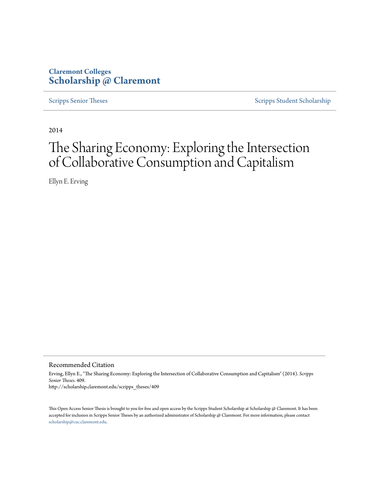## **Claremont Colleges [Scholarship @ Claremont](http://scholarship.claremont.edu)**

[Scripps Senior Theses](http://scholarship.claremont.edu/scripps_theses) [Scripps Student Scholarship](http://scholarship.claremont.edu/scripps_student)

2014

# The Sharing Economy: Exploring the Intersection of Collaborative Consumption and Capitalism

Ellyn E. Erving

Recommended Citation

Erving, Ellyn E., "The Sharing Economy: Exploring the Intersection of Collaborative Consumption and Capitalism" (2014). *Scripps Senior Theses*. 409. http://scholarship.claremont.edu/scripps\_theses/409

This Open Access Senior Thesis is brought to you for free and open access by the Scripps Student Scholarship at Scholarship @ Claremont. It has been accepted for inclusion in Scripps Senior Theses by an authorized administrator of Scholarship @ Claremont. For more information, please contact [scholarship@cuc.claremont.edu.](mailto:scholarship@cuc.claremont.edu)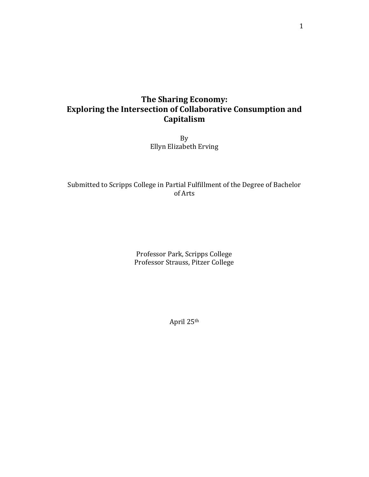## **The Sharing Economy: Exploring the Intersection of Collaborative Consumption and Capitalism**

By Ellyn Elizabeth Erving

### Submitted to Scripps College in Partial Fulfillment of the Degree of Bachelor of Arts

Professor Park, Scripps College Professor Strauss, Pitzer College

April 25th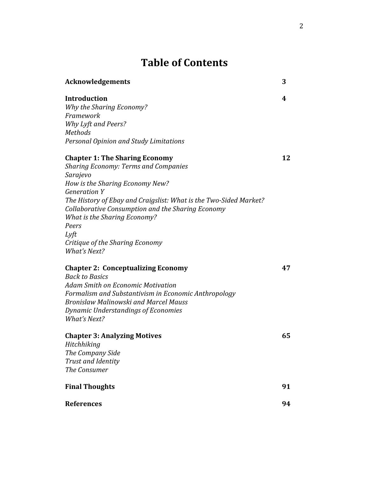## **Table of Contents**

| <b>Acknowledgements</b>                                           | 3  |
|-------------------------------------------------------------------|----|
| <b>Introduction</b>                                               | 4  |
| Why the Sharing Economy?                                          |    |
| Framework                                                         |    |
| Why Lyft and Peers?                                               |    |
| <b>Methods</b>                                                    |    |
| Personal Opinion and Study Limitations                            |    |
| <b>Chapter 1: The Sharing Economy</b>                             | 12 |
| <b>Sharing Economy: Terms and Companies</b>                       |    |
| Sarajevo                                                          |    |
| How is the Sharing Economy New?                                   |    |
| <b>Generation Y</b>                                               |    |
| The History of Ebay and Craigslist: What is the Two-Sided Market? |    |
| Collaborative Consumption and the Sharing Economy                 |    |
| <b>What is the Sharing Economy?</b>                               |    |
| Peers                                                             |    |
| Lyft                                                              |    |
| Critique of the Sharing Economy                                   |    |
| <b>What's Next?</b>                                               |    |
| <b>Chapter 2: Conceptualizing Economy</b>                         | 47 |
| <b>Back to Basics</b>                                             |    |
| <b>Adam Smith on Economic Motivation</b>                          |    |
| Formalism and Substantivism in Economic Anthropology              |    |
| <b>Bronislaw Malinowski and Marcel Mauss</b>                      |    |
| Dynamic Understandings of Economies                               |    |
| What's Next?                                                      |    |
| <b>Chapter 3: Analyzing Motives</b>                               | 65 |
| Hitchhiking                                                       |    |
| The Company Side                                                  |    |
| Trust and Identity                                                |    |
| The Consumer                                                      |    |
| <b>Final Thoughts</b>                                             | 91 |
| <b>References</b>                                                 | 94 |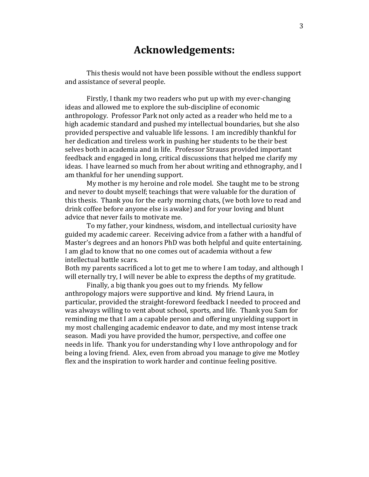## **Acknowledgements:**

This thesis would not have been possible without the endless support and assistance of several people.

Firstly, I thank my two readers who put up with my ever-changing ideas and allowed me to explore the sub-discipline of economic anthropology. Professor Park not only acted as a reader who held me to a high academic standard and pushed my intellectual boundaries, but she also provided perspective and valuable life lessons. I am incredibly thankful for her dedication and tireless work in pushing her students to be their best selves both in academia and in life. Professor Strauss provided important feedback and engaged in long, critical discussions that helped me clarify my ideas. I have learned so much from her about writing and ethnography, and I am thankful for her unending support.

My mother is my heroine and role model. She taught me to be strong and never to doubt myself; teachings that were valuable for the duration of this thesis. Thank you for the early morning chats, (we both love to read and drink coffee before anyone else is awake) and for your loving and blunt advice that never fails to motivate me.

To my father, your kindness, wisdom, and intellectual curiosity have guided my academic career. Receiving advice from a father with a handful of Master's degrees and an honors PhD was both helpful and quite entertaining. I am glad to know that no one comes out of academia without a few intellectual battle scars.

Both my parents sacrificed a lot to get me to where I am today, and although I will eternally try, I will never be able to express the depths of my gratitude.

Finally, a big thank you goes out to my friends. My fellow anthropology majors were supportive and kind. My friend Laura, in particular, provided the straight-foreword feedback I needed to proceed and was always willing to vent about school, sports, and life. Thank you Sam for reminding me that I am a capable person and offering unyielding support in my most challenging academic endeavor to date, and my most intense track season. Madi you have provided the humor, perspective, and coffee one needs in life. Thank you for understanding why I love anthropology and for being a loving friend. Alex, even from abroad you manage to give me Motley flex and the inspiration to work harder and continue feeling positive.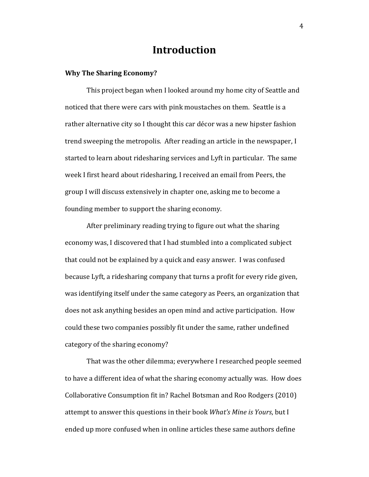## **Introduction**

#### **Why The Sharing Economy?**

This project began when I looked around my home city of Seattle and noticed that there were cars with pink moustaches on them. Seattle is a rather alternative city so I thought this car décor was a new hipster fashion trend sweeping the metropolis. After reading an article in the newspaper, I started to learn about ridesharing services and Lyft in particular. The same week I first heard about ridesharing, I received an email from Peers, the group I will discuss extensively in chapter one, asking me to become a founding member to support the sharing economy.

After preliminary reading trying to figure out what the sharing economy was, I discovered that I had stumbled into a complicated subject that could not be explained by a quick and easy answer. I was confused because Lyft, a ridesharing company that turns a profit for every ride given, was identifying itself under the same category as Peers, an organization that does not ask anything besides an open mind and active participation. How could these two companies possibly fit under the same, rather undefined category of the sharing economy?

That was the other dilemma; everywhere I researched people seemed to have a different idea of what the sharing economy actually was. How does Collaborative Consumption fit in? Rachel Botsman and Roo Rodgers (2010) attempt to answer this questions in their book *What's Mine is Yours*, but I ended up more confused when in online articles these same authors define

4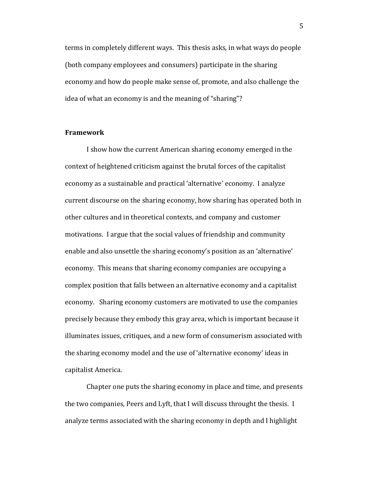terms in completely different ways. This thesis asks, in what ways do people (both company employees and consumers) participate in the sharing economy and how do people make sense of, promote, and also challenge the idea of what an economy is and the meaning of "sharing"?

#### **Framework**

I show how the current American sharing economy emerged in the context of heightened criticism against the brutal forces of the capitalist economy as a sustainable and practical 'alternative' economy. I analyze current discourse on the sharing economy, how sharing has operated both in other cultures and in theoretical contexts, and company and customer motivations. I argue that the social values of friendship and community enable and also unsettle the sharing economy's position as an 'alternative' economy. This means that sharing economy companies are occupying a complex position that falls between an alternative economy and a capitalist economy. Sharing economy customers are motivated to use the companies precisely because they embody this gray area, which is important because it illuminates issues, critiques, and a new form of consumerism associated with the sharing economy model and the use of 'alternative economy' ideas in capitalist America.

Chapter one puts the sharing economy in place and time, and presents the two companies, Peers and Lyft, that I will discuss throught the thesis. I analyze terms associated with the sharing economy in depth and I highlight

5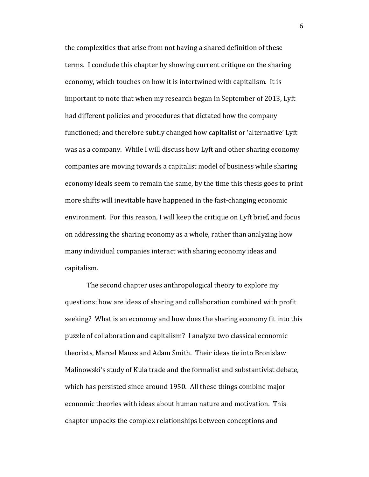the complexities that arise from not having a shared definition of these terms. I conclude this chapter by showing current critique on the sharing economy, which touches on how it is intertwined with capitalism. It is important to note that when my research began in September of 2013, Lyft had different policies and procedures that dictated how the company functioned; and therefore subtly changed how capitalist or 'alternative' Lyft was as a company. While I will discuss how Lyft and other sharing economy companies are moving towards a capitalist model of business while sharing economy ideals seem to remain the same, by the time this thesis goes to print more shifts will inevitable have happened in the fast-changing economic environment. For this reason, I will keep the critique on Lyft brief, and focus on addressing the sharing economy as a whole, rather than analyzing how many individual companies interact with sharing economy ideas and capitalism.

The second chapter uses anthropological theory to explore my questions: how are ideas of sharing and collaboration combined with profit seeking? What is an economy and how does the sharing economy fit into this puzzle of collaboration and capitalism? I analyze two classical economic theorists, Marcel Mauss and Adam Smith. Their ideas tie into Bronislaw Malinowski's study of Kula trade and the formalist and substantivist debate, which has persisted since around 1950. All these things combine major economic theories with ideas about human nature and motivation. This chapter unpacks the complex relationships between conceptions and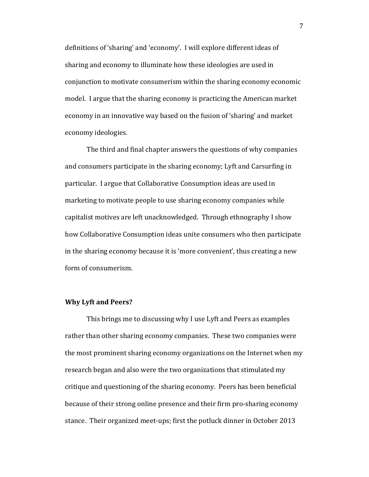definitions of 'sharing' and 'economy'. I will explore different ideas of sharing and economy to illuminate how these ideologies are used in conjunction to motivate consumerism within the sharing economy economic model. I argue that the sharing economy is practicing the American market economy in an innovative way based on the fusion of 'sharing' and market economy ideologies.

The third and final chapter answers the questions of why companies and consumers participate in the sharing economy; Lyft and Carsurfing in particular. I argue that Collaborative Consumption ideas are used in marketing to motivate people to use sharing economy companies while capitalist motives are left unacknowledged. Through ethnography I show how Collaborative Consumption ideas unite consumers who then participate in the sharing economy because it is 'more convenient', thus creating a new form of consumerism.

#### **Why Lyft and Peers?**

This brings me to discussing why I use Lyft and Peers as examples rather than other sharing economy companies. These two companies were the most prominent sharing economy organizations on the Internet when my research began and also were the two organizations that stimulated my critique and questioning of the sharing economy. Peers has been beneficial because of their strong online presence and their firm pro-sharing economy stance. Their organized meet-ups; first the potluck dinner in October 2013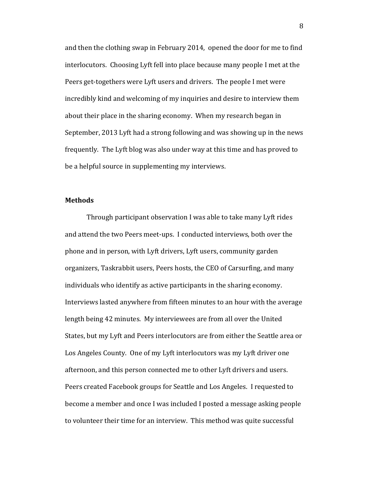and then the clothing swap in February 2014, opened the door for me to find interlocutors. Choosing Lyft fell into place because many people I met at the Peers get-togethers were Lyft users and drivers. The people I met were incredibly kind and welcoming of my inquiries and desire to interview them about their place in the sharing economy. When my research began in September, 2013 Lyft had a strong following and was showing up in the news frequently. The Lyft blog was also under way at this time and has proved to be a helpful source in supplementing my interviews.

#### **Methods**

Through participant observation I was able to take many Lyft rides and attend the two Peers meet-ups. I conducted interviews, both over the phone and in person, with Lyft drivers, Lyft users, community garden organizers, Taskrabbit users, Peers hosts, the CEO of Carsurfing, and many individuals who identify as active participants in the sharing economy. Interviews lasted anywhere from fifteen minutes to an hour with the average length being 42 minutes. My interviewees are from all over the United States, but my Lyft and Peers interlocutors are from either the Seattle area or Los Angeles County. One of my Lyft interlocutors was my Lyft driver one afternoon, and this person connected me to other Lyft drivers and users. Peers created Facebook groups for Seattle and Los Angeles. I requested to become a member and once I was included I posted a message asking people to volunteer their time for an interview. This method was quite successful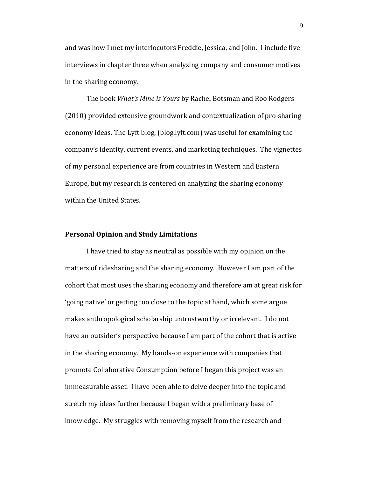and was how I met my interlocutors Freddie, Jessica, and John. I include five interviews in chapter three when analyzing company and consumer motives in the sharing economy.

The book *What's Mine is Yours* by Rachel Botsman and Roo Rodgers (2010) provided extensive groundwork and contextualization of pro-sharing economy ideas. The Lyft blog, (blog.lyft.com) was useful for examining the company's identity, current events, and marketing techniques. The vignettes of my personal experience are from countries in Western and Eastern Europe, but my research is centered on analyzing the sharing economy within the United States.

#### **Personal Opinion and Study Limitations**

I have tried to stay as neutral as possible with my opinion on the matters of ridesharing and the sharing economy. However I am part of the cohort that most uses the sharing economy and therefore am at great risk for 'going native' or getting too close to the topic at hand, which some argue makes anthropological scholarship untrustworthy or irrelevant. I do not have an outsider's perspective because I am part of the cohort that is active in the sharing economy. My hands-on experience with companies that promote Collaborative Consumption before I began this project was an immeasurable asset. I have been able to delve deeper into the topic and stretch my ideas further because I began with a preliminary base of knowledge. My struggles with removing myself from the research and

9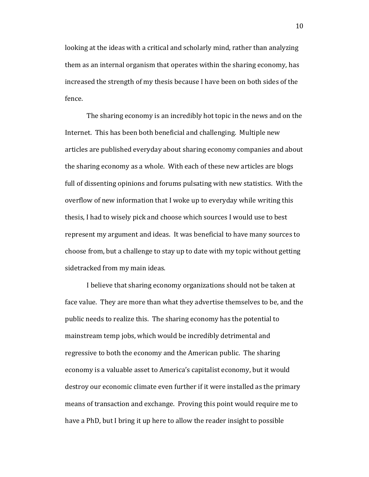looking at the ideas with a critical and scholarly mind, rather than analyzing them as an internal organism that operates within the sharing economy, has increased the strength of my thesis because I have been on both sides of the fence.

The sharing economy is an incredibly hot topic in the news and on the Internet. This has been both beneficial and challenging. Multiple new articles are published everyday about sharing economy companies and about the sharing economy as a whole. With each of these new articles are blogs full of dissenting opinions and forums pulsating with new statistics. With the overflow of new information that I woke up to everyday while writing this thesis, I had to wisely pick and choose which sources I would use to best represent my argument and ideas. It was beneficial to have many sources to choose from, but a challenge to stay up to date with my topic without getting sidetracked from my main ideas.

I believe that sharing economy organizations should not be taken at face value. They are more than what they advertise themselves to be, and the public needs to realize this. The sharing economy has the potential to mainstream temp jobs, which would be incredibly detrimental and regressive to both the economy and the American public. The sharing economy is a valuable asset to America's capitalist economy, but it would destroy our economic climate even further if it were installed as the primary means of transaction and exchange. Proving this point would require me to have a PhD, but I bring it up here to allow the reader insight to possible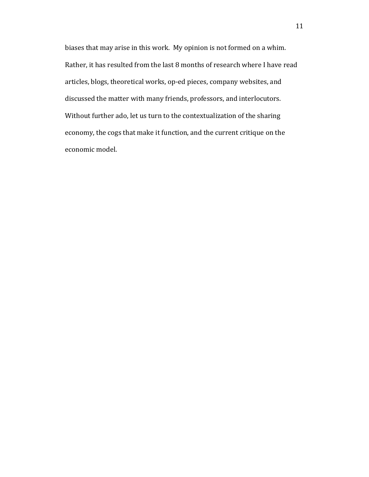biases that may arise in this work. My opinion is not formed on a whim. Rather, it has resulted from the last 8 months of research where I have read articles, blogs, theoretical works, op-ed pieces, company websites, and discussed the matter with many friends, professors, and interlocutors. Without further ado, let us turn to the contextualization of the sharing economy, the cogs that make it function, and the current critique on the economic model.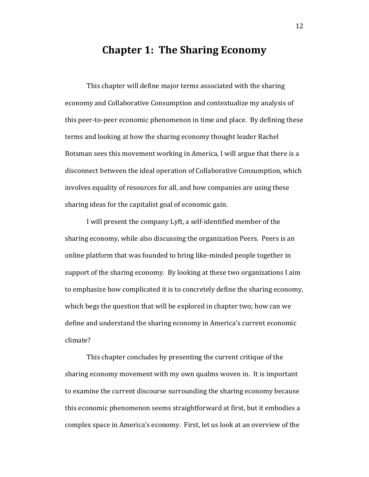## **Chapter 1: The Sharing Economy**

This chapter will define major terms associated with the sharing economy and Collaborative Consumption and contextualize my analysis of this peer-to-peer economic phenomenon in time and place. By defining these terms and looking at how the sharing economy thought leader Rachel Botsman sees this movement working in America, I will argue that there is a disconnect between the ideal operation of Collaborative Consumption, which involves equality of resources for all, and how companies are using these sharing ideas for the capitalist goal of economic gain.

I will present the company Lyft, a self-identified member of the sharing economy, while also discussing the organization Peers. Peers is an online platform that was founded to bring like-minded people together in support of the sharing economy. By looking at these two organizations I aim to emphasize how complicated it is to concretely define the sharing economy, which begs the question that will be explored in chapter two; how can we define and understand the sharing economy in America's current economic climate?

This chapter concludes by presenting the current critique of the sharing economy movement with my own qualms woven in. It is important to examine the current discourse surrounding the sharing economy because this economic phenomenon seems straightforward at first, but it embodies a complex space in America's economy. First, let us look at an overview of the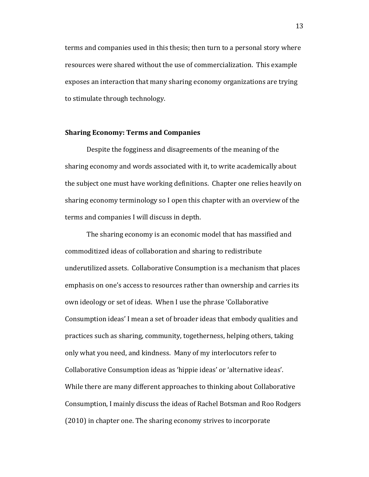terms and companies used in this thesis; then turn to a personal story where resources were shared without the use of commercialization. This example exposes an interaction that many sharing economy organizations are trying to stimulate through technology.

#### **Sharing Economy: Terms and Companies**

Despite the fogginess and disagreements of the meaning of the sharing economy and words associated with it, to write academically about the subject one must have working definitions. Chapter one relies heavily on sharing economy terminology so I open this chapter with an overview of the terms and companies I will discuss in depth.

The sharing economy is an economic model that has massified and commoditized ideas of collaboration and sharing to redistribute underutilized assets. Collaborative Consumption is a mechanism that places emphasis on one's access to resources rather than ownership and carries its own ideology or set of ideas. When I use the phrase 'Collaborative Consumption ideas' I mean a set of broader ideas that embody qualities and practices such as sharing, community, togetherness, helping others, taking only what you need, and kindness. Many of my interlocutors refer to Collaborative Consumption ideas as 'hippie ideas' or 'alternative ideas'. While there are many different approaches to thinking about Collaborative Consumption, I mainly discuss the ideas of Rachel Botsman and Roo Rodgers (2010) in chapter one. The sharing economy strives to incorporate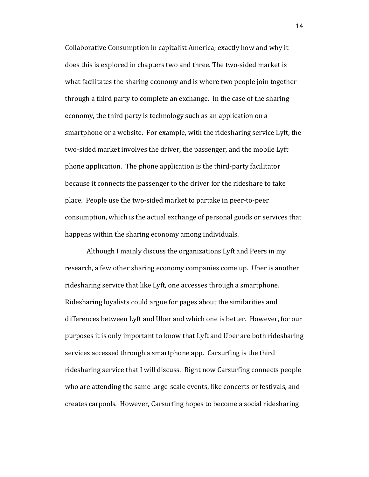Collaborative Consumption in capitalist America; exactly how and why it does this is explored in chapters two and three. The two-sided market is what facilitates the sharing economy and is where two people join together through a third party to complete an exchange. In the case of the sharing economy, the third party is technology such as an application on a smartphone or a website. For example, with the ridesharing service Lyft, the two-sided market involves the driver, the passenger, and the mobile Lyft phone application. The phone application is the third-party facilitator because it connects the passenger to the driver for the rideshare to take place. People use the two-sided market to partake in peer-to-peer consumption, which is the actual exchange of personal goods or services that happens within the sharing economy among individuals.

Although I mainly discuss the organizations Lyft and Peers in my research, a few other sharing economy companies come up. Uber is another ridesharing service that like Lyft, one accesses through a smartphone. Ridesharing loyalists could argue for pages about the similarities and differences between Lyft and Uber and which one is better. However, for our purposes it is only important to know that Lyft and Uber are both ridesharing services accessed through a smartphone app. Carsurfing is the third ridesharing service that I will discuss. Right now Carsurfing connects people who are attending the same large-scale events, like concerts or festivals, and creates carpools. However, Carsurfing hopes to become a social ridesharing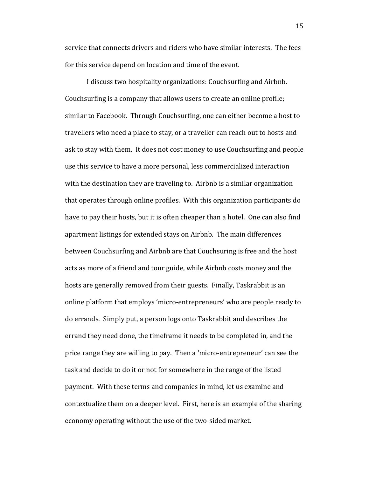service that connects drivers and riders who have similar interests. The fees for this service depend on location and time of the event.

I discuss two hospitality organizations: Couchsurfing and Airbnb. Couchsurfing is a company that allows users to create an online profile; similar to Facebook. Through Couchsurfing, one can either become a host to travellers who need a place to stay, or a traveller can reach out to hosts and ask to stay with them. It does not cost money to use Couchsurfing and people use this service to have a more personal, less commercialized interaction with the destination they are traveling to. Airbnb is a similar organization that operates through online profiles. With this organization participants do have to pay their hosts, but it is often cheaper than a hotel. One can also find apartment listings for extended stays on Airbnb. The main differences between Couchsurfing and Airbnb are that Couchsuring is free and the host acts as more of a friend and tour guide, while Airbnb costs money and the hosts are generally removed from their guests. Finally, Taskrabbit is an online platform that employs 'micro-entrepreneurs' who are people ready to do errands. Simply put, a person logs onto Taskrabbit and describes the errand they need done, the timeframe it needs to be completed in, and the price range they are willing to pay. Then a 'micro-entrepreneur' can see the task and decide to do it or not for somewhere in the range of the listed payment. With these terms and companies in mind, let us examine and contextualize them on a deeper level. First, here is an example of the sharing economy operating without the use of the two-sided market.

15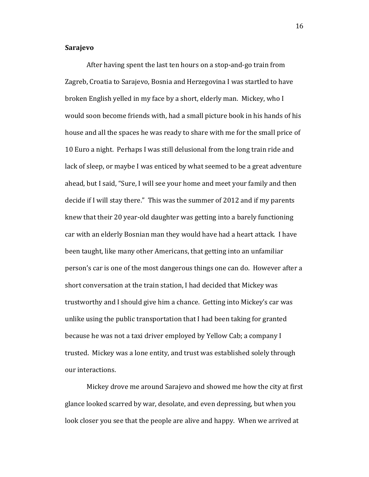#### **Sarajevo**

After having spent the last ten hours on a stop-and-go train from Zagreb, Croatia to Sarajevo, Bosnia and Herzegovina I was startled to have broken English yelled in my face by a short, elderly man. Mickey, who I would soon become friends with, had a small picture book in his hands of his house and all the spaces he was ready to share with me for the small price of 10 Euro a night. Perhaps I was still delusional from the long train ride and lack of sleep, or maybe I was enticed by what seemed to be a great adventure ahead, but I said, "Sure, I will see your home and meet your family and then decide if I will stay there." This was the summer of 2012 and if my parents knew that their 20 year-old daughter was getting into a barely functioning car with an elderly Bosnian man they would have had a heart attack. I have been taught, like many other Americans, that getting into an unfamiliar person's car is one of the most dangerous things one can do. However after a short conversation at the train station, I had decided that Mickey was trustworthy and I should give him a chance. Getting into Mickey's car was unlike using the public transportation that I had been taking for granted because he was not a taxi driver employed by Yellow Cab; a company I trusted. Mickey was a lone entity, and trust was established solely through our interactions.

Mickey drove me around Sarajevo and showed me how the city at first glance looked scarred by war, desolate, and even depressing, but when you look closer you see that the people are alive and happy. When we arrived at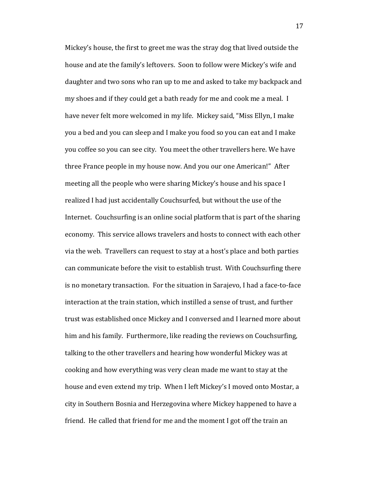Mickey's house, the first to greet me was the stray dog that lived outside the house and ate the family's leftovers. Soon to follow were Mickey's wife and daughter and two sons who ran up to me and asked to take my backpack and my shoes and if they could get a bath ready for me and cook me a meal. I have never felt more welcomed in my life. Mickey said, "Miss Ellyn, I make you a bed and you can sleep and I make you food so you can eat and I make you coffee so you can see city. You meet the other travellers here. We have three France people in my house now. And you our one American!" After meeting all the people who were sharing Mickey's house and his space I realized I had just accidentally Couchsurfed, but without the use of the Internet. Couchsurfing is an online social platform that is part of the sharing economy. This service allows travelers and hosts to connect with each other via the web. Travellers can request to stay at a host's place and both parties can communicate before the visit to establish trust. With Couchsurfing there is no monetary transaction. For the situation in Sarajevo, I had a face-to-face interaction at the train station, which instilled a sense of trust, and further trust was established once Mickey and I conversed and I learned more about him and his family. Furthermore, like reading the reviews on Couchsurfing, talking to the other travellers and hearing how wonderful Mickey was at cooking and how everything was very clean made me want to stay at the house and even extend my trip. When I left Mickey's I moved onto Mostar, a city in Southern Bosnia and Herzegovina where Mickey happened to have a friend. He called that friend for me and the moment I got off the train an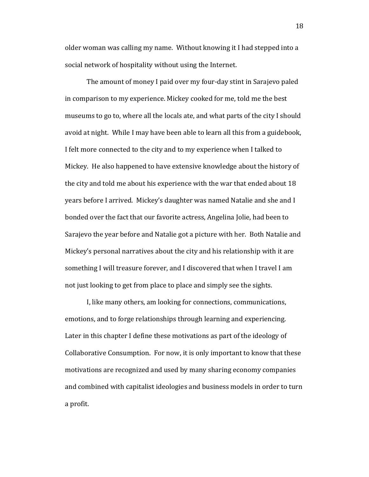older woman was calling my name. Without knowing it I had stepped into a social network of hospitality without using the Internet.

The amount of money I paid over my four-day stint in Sarajevo paled in comparison to my experience. Mickey cooked for me, told me the best museums to go to, where all the locals ate, and what parts of the city I should avoid at night. While I may have been able to learn all this from a guidebook, I felt more connected to the city and to my experience when I talked to Mickey. He also happened to have extensive knowledge about the history of the city and told me about his experience with the war that ended about 18 years before I arrived. Mickey's daughter was named Natalie and she and I bonded over the fact that our favorite actress, Angelina Jolie, had been to Sarajevo the year before and Natalie got a picture with her. Both Natalie and Mickey's personal narratives about the city and his relationship with it are something I will treasure forever, and I discovered that when I travel I am not just looking to get from place to place and simply see the sights.

I, like many others, am looking for connections, communications, emotions, and to forge relationships through learning and experiencing. Later in this chapter I define these motivations as part of the ideology of Collaborative Consumption. For now, it is only important to know that these motivations are recognized and used by many sharing economy companies and combined with capitalist ideologies and business models in order to turn a profit.

18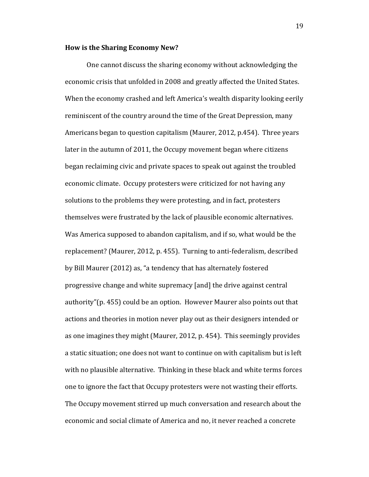#### **How is the Sharing Economy New?**

One cannot discuss the sharing economy without acknowledging the economic crisis that unfolded in 2008 and greatly affected the United States. When the economy crashed and left America's wealth disparity looking eerily reminiscent of the country around the time of the Great Depression, many Americans began to question capitalism (Maurer, 2012, p.454). Three years later in the autumn of 2011, the Occupy movement began where citizens began reclaiming civic and private spaces to speak out against the troubled economic climate. Occupy protesters were criticized for not having any solutions to the problems they were protesting, and in fact, protesters themselves were frustrated by the lack of plausible economic alternatives. Was America supposed to abandon capitalism, and if so, what would be the replacement? (Maurer, 2012, p. 455). Turning to anti-federalism, described by Bill Maurer (2012) as, "a tendency that has alternately fostered progressive change and white supremacy [and] the drive against central authority"(p. 455) could be an option. However Maurer also points out that actions and theories in motion never play out as their designers intended or as one imagines they might (Maurer, 2012, p. 454). This seemingly provides a static situation; one does not want to continue on with capitalism but is left with no plausible alternative. Thinking in these black and white terms forces one to ignore the fact that Occupy protesters were not wasting their efforts. The Occupy movement stirred up much conversation and research about the economic and social climate of America and no, it never reached a concrete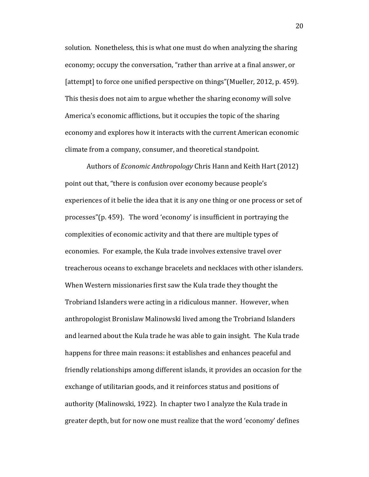solution. Nonetheless, this is what one must do when analyzing the sharing economy; occupy the conversation, "rather than arrive at a final answer, or [attempt] to force one unified perspective on things"(Mueller, 2012, p. 459). This thesis does not aim to argue whether the sharing economy will solve America's economic afflictions, but it occupies the topic of the sharing economy and explores how it interacts with the current American economic climate from a company, consumer, and theoretical standpoint.

Authors of *Economic Anthropology* Chris Hann and Keith Hart (2012) point out that, "there is confusion over economy because people's experiences of it belie the idea that it is any one thing or one process or set of processes"(p. 459). The word 'economy' is insufficient in portraying the complexities of economic activity and that there are multiple types of economies. For example, the Kula trade involves extensive travel over treacherous oceans to exchange bracelets and necklaces with other islanders. When Western missionaries first saw the Kula trade they thought the Trobriand Islanders were acting in a ridiculous manner. However, when anthropologist Bronislaw Malinowski lived among the Trobriand Islanders and learned about the Kula trade he was able to gain insight. The Kula trade happens for three main reasons: it establishes and enhances peaceful and friendly relationships among different islands, it provides an occasion for the exchange of utilitarian goods, and it reinforces status and positions of authority (Malinowski, 1922). In chapter two I analyze the Kula trade in greater depth, but for now one must realize that the word 'economy' defines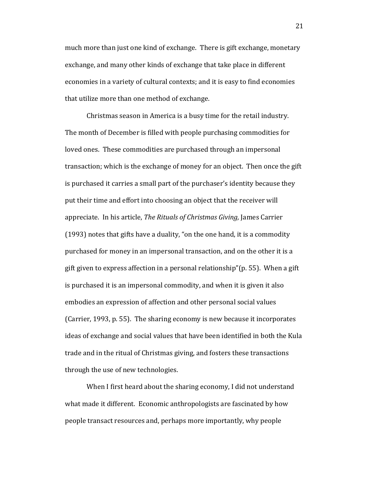much more than just one kind of exchange. There is gift exchange, monetary exchange, and many other kinds of exchange that take place in different economies in a variety of cultural contexts; and it is easy to find economies that utilize more than one method of exchange.

Christmas season in America is a busy time for the retail industry. The month of December is filled with people purchasing commodities for loved ones. These commodities are purchased through an impersonal transaction; which is the exchange of money for an object. Then once the gift is purchased it carries a small part of the purchaser's identity because they put their time and effort into choosing an object that the receiver will appreciate. In his article, *The Rituals of Christmas Giving,* James Carrier (1993) notes that gifts have a duality, "on the one hand, it is a commodity purchased for money in an impersonal transaction, and on the other it is a gift given to express affection in a personal relationship"(p. 55). When a gift is purchased it is an impersonal commodity, and when it is given it also embodies an expression of affection and other personal social values (Carrier, 1993, p. 55). The sharing economy is new because it incorporates ideas of exchange and social values that have been identified in both the Kula trade and in the ritual of Christmas giving, and fosters these transactions through the use of new technologies.

When I first heard about the sharing economy, I did not understand what made it different. Economic anthropologists are fascinated by how people transact resources and, perhaps more importantly, why people

21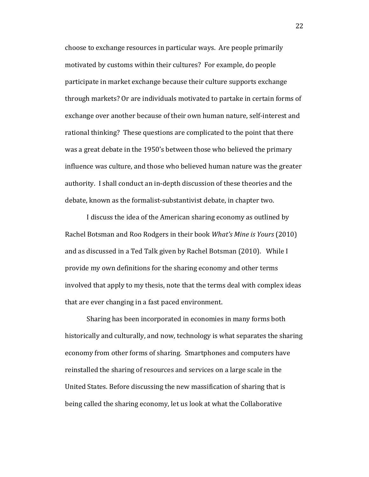choose to exchange resources in particular ways. Are people primarily motivated by customs within their cultures? For example, do people participate in market exchange because their culture supports exchange through markets? Or are individuals motivated to partake in certain forms of exchange over another because of their own human nature, self-interest and rational thinking? These questions are complicated to the point that there was a great debate in the 1950's between those who believed the primary influence was culture, and those who believed human nature was the greater authority. I shall conduct an in-depth discussion of these theories and the debate, known as the formalist-substantivist debate, in chapter two.

I discuss the idea of the American sharing economy as outlined by Rachel Botsman and Roo Rodgers in their book *What's Mine is Yours* (2010) and as discussed in a Ted Talk given by Rachel Botsman (2010). While I provide my own definitions for the sharing economy and other terms involved that apply to my thesis, note that the terms deal with complex ideas that are ever changing in a fast paced environment.

Sharing has been incorporated in economies in many forms both historically and culturally, and now, technology is what separates the sharing economy from other forms of sharing. Smartphones and computers have reinstalled the sharing of resources and services on a large scale in the United States. Before discussing the new massification of sharing that is being called the sharing economy, let us look at what the Collaborative

22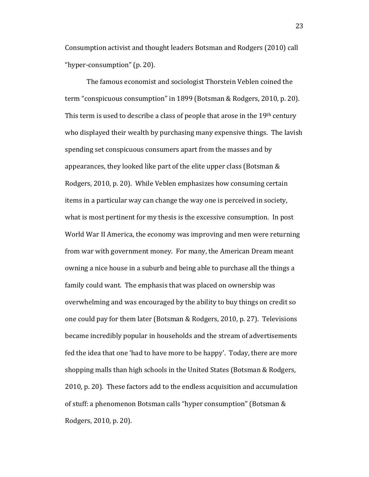Consumption activist and thought leaders Botsman and Rodgers (2010) call "hyper-consumption" (p. 20).

The famous economist and sociologist Thorstein Veblen coined the term "conspicuous consumption" in 1899 (Botsman & Rodgers, 2010, p. 20). This term is used to describe a class of people that arose in the 19<sup>th</sup> century who displayed their wealth by purchasing many expensive things. The lavish spending set conspicuous consumers apart from the masses and by appearances, they looked like part of the elite upper class (Botsman & Rodgers, 2010, p. 20). While Veblen emphasizes how consuming certain items in a particular way can change the way one is perceived in society, what is most pertinent for my thesis is the excessive consumption. In post World War II America, the economy was improving and men were returning from war with government money. For many, the American Dream meant owning a nice house in a suburb and being able to purchase all the things a family could want. The emphasis that was placed on ownership was overwhelming and was encouraged by the ability to buy things on credit so one could pay for them later (Botsman & Rodgers, 2010, p. 27). Televisions became incredibly popular in households and the stream of advertisements fed the idea that one 'had to have more to be happy'. Today, there are more shopping malls than high schools in the United States (Botsman & Rodgers, 2010, p. 20). These factors add to the endless acquisition and accumulation of stuff: a phenomenon Botsman calls "hyper consumption" (Botsman & Rodgers, 2010, p. 20).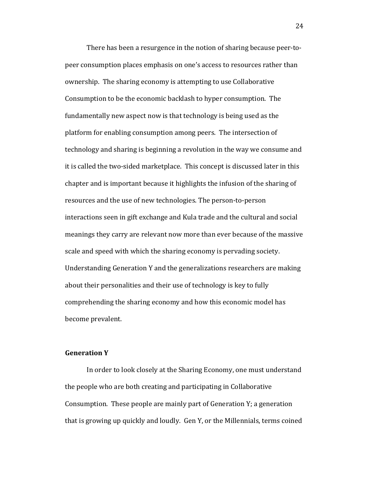There has been a resurgence in the notion of sharing because peer-topeer consumption places emphasis on one's access to resources rather than ownership. The sharing economy is attempting to use Collaborative Consumption to be the economic backlash to hyper consumption. The fundamentally new aspect now is that technology is being used as the platform for enabling consumption among peers. The intersection of technology and sharing is beginning a revolution in the way we consume and it is called the two-sided marketplace. This concept is discussed later in this chapter and is important because it highlights the infusion of the sharing of resources and the use of new technologies. The person-to-person interactions seen in gift exchange and Kula trade and the cultural and social meanings they carry are relevant now more than ever because of the massive scale and speed with which the sharing economy is pervading society. Understanding Generation Y and the generalizations researchers are making about their personalities and their use of technology is key to fully comprehending the sharing economy and how this economic model has become prevalent.

#### **Generation Y**

In order to look closely at the Sharing Economy, one must understand the people who are both creating and participating in Collaborative Consumption. These people are mainly part of Generation Y; a generation that is growing up quickly and loudly. Gen Y, or the Millennials, terms coined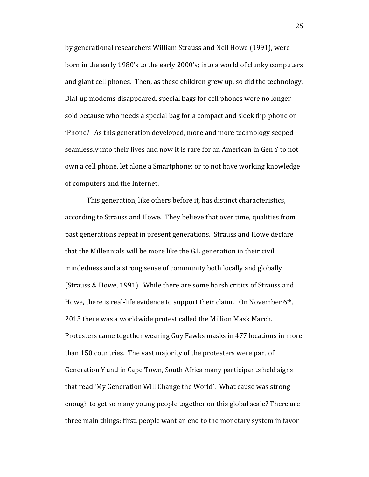by generational researchers William Strauss and Neil Howe (1991), were born in the early 1980's to the early 2000's; into a world of clunky computers and giant cell phones. Then, as these children grew up, so did the technology. Dial-up modems disappeared, special bags for cell phones were no longer sold because who needs a special bag for a compact and sleek flip-phone or iPhone? As this generation developed, more and more technology seeped seamlessly into their lives and now it is rare for an American in Gen Y to not own a cell phone, let alone a Smartphone; or to not have working knowledge of computers and the Internet.

This generation, like others before it, has distinct characteristics, according to Strauss and Howe. They believe that over time, qualities from past generations repeat in present generations. Strauss and Howe declare that the Millennials will be more like the G.I. generation in their civil mindedness and a strong sense of community both locally and globally (Strauss & Howe, 1991). While there are some harsh critics of Strauss and Howe, there is real-life evidence to support their claim. On November 6th, 2013 there was a worldwide protest called the Million Mask March. Protesters came together wearing Guy Fawks masks in 477 locations in more than 150 countries. The vast majority of the protesters were part of Generation Y and in Cape Town, South Africa many participants held signs that read 'My Generation Will Change the World'. What cause was strong enough to get so many young people together on this global scale? There are three main things: first, people want an end to the monetary system in favor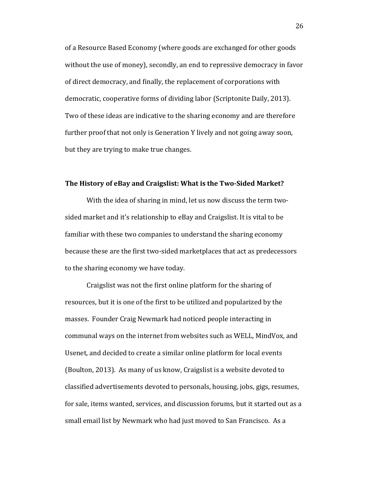of a Resource Based Economy (where goods are exchanged for other goods without the use of money), secondly, an end to repressive democracy in favor of direct democracy, and finally, the replacement of corporations with democratic, cooperative forms of dividing labor (Scriptonite Daily, 2013). Two of these ideas are indicative to the sharing economy and are therefore further proof that not only is Generation Y lively and not going away soon, but they are trying to make true changes.

#### **The History of eBay and Craigslist: What is the Two-Sided Market?**

With the idea of sharing in mind, let us now discuss the term twosided market and it's relationship to eBay and Craigslist. It is vital to be familiar with these two companies to understand the sharing economy because these are the first two-sided marketplaces that act as predecessors to the sharing economy we have today.

Craigslist was not the first online platform for the sharing of resources, but it is one of the first to be utilized and popularized by the masses. Founder Craig Newmark had noticed people interacting in communal ways on the internet from websites such as WELL, MindVox, and Usenet, and decided to create a similar online platform for local events (Boulton, 2013). As many of us know, Craigslist is a website devoted to classified advertisements devoted to personals, housing, jobs, gigs, resumes, for sale, items wanted, services, and discussion forums, but it started out as a small email list by Newmark who had just moved to San Francisco. As a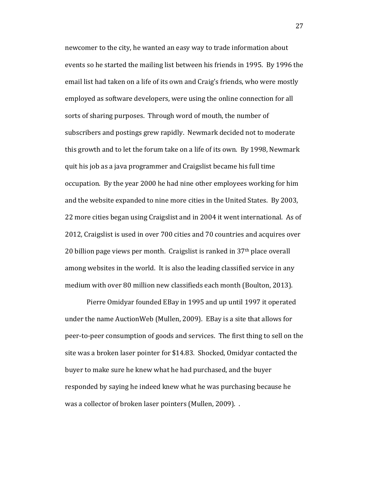newcomer to the city, he wanted an easy way to trade information about events so he started the mailing list between his friends in 1995. By 1996 the email list had taken on a life of its own and Craig's friends, who were mostly employed as software developers, were using the online connection for all sorts of sharing purposes. Through word of mouth, the number of subscribers and postings grew rapidly. Newmark decided not to moderate this growth and to let the forum take on a life of its own. By 1998, Newmark quit his job as a java programmer and Craigslist became his full time occupation. By the year 2000 he had nine other employees working for him and the website expanded to nine more cities in the United States. By 2003, 22 more cities began using Craigslist and in 2004 it went international. As of 2012, Craigslist is used in over 700 cities and 70 countries and acquires over 20 billion page views per month. Craigslist is ranked in 37th place overall among websites in the world. It is also the leading classified service in any medium with over 80 million new classifieds each month (Boulton, 2013).

Pierre Omidyar founded EBay in 1995 and up until 1997 it operated under the name AuctionWeb (Mullen, 2009). EBay is a site that allows for peer-to-peer consumption of goods and services. The first thing to sell on the site was a broken laser pointer for \$14.83. Shocked, Omidyar contacted the buyer to make sure he knew what he had purchased, and the buyer responded by saying he indeed knew what he was purchasing because he was a collector of broken laser pointers (Mullen, 2009). .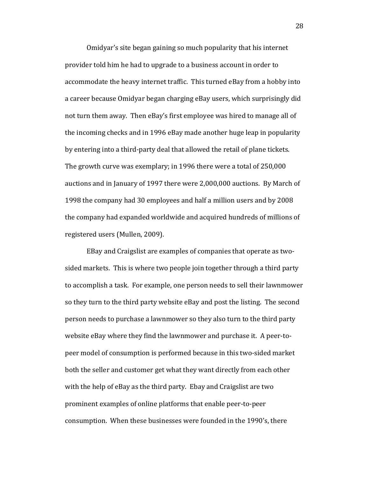Omidyar's site began gaining so much popularity that his internet provider told him he had to upgrade to a business account in order to accommodate the heavy internet traffic. This turned eBay from a hobby into a career because Omidyar began charging eBay users, which surprisingly did not turn them away. Then eBay's first employee was hired to manage all of the incoming checks and in 1996 eBay made another huge leap in popularity by entering into a third-party deal that allowed the retail of plane tickets. The growth curve was exemplary; in 1996 there were a total of 250,000 auctions and in January of 1997 there were 2,000,000 auctions. By March of 1998 the company had 30 employees and half a million users and by 2008 the company had expanded worldwide and acquired hundreds of millions of registered users (Mullen, 2009).

EBay and Craigslist are examples of companies that operate as twosided markets. This is where two people join together through a third party to accomplish a task. For example, one person needs to sell their lawnmower so they turn to the third party website eBay and post the listing. The second person needs to purchase a lawnmower so they also turn to the third party website eBay where they find the lawnmower and purchase it. A peer-topeer model of consumption is performed because in this two-sided market both the seller and customer get what they want directly from each other with the help of eBay as the third party. Ebay and Craigslist are two prominent examples of online platforms that enable peer-to-peer consumption. When these businesses were founded in the 1990's, there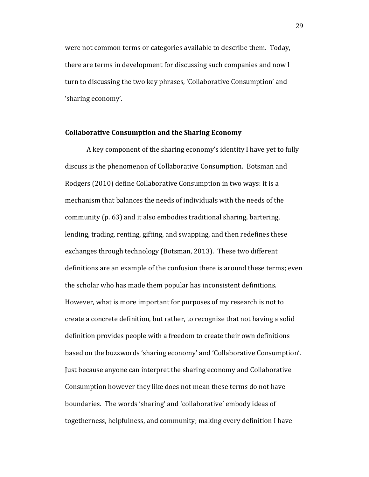were not common terms or categories available to describe them. Today, there are terms in development for discussing such companies and now I turn to discussing the two key phrases, 'Collaborative Consumption' and 'sharing economy'.

#### **Collaborative Consumption and the Sharing Economy**

A key component of the sharing economy's identity I have yet to fully discuss is the phenomenon of Collaborative Consumption. Botsman and Rodgers (2010) define Collaborative Consumption in two ways: it is a mechanism that balances the needs of individuals with the needs of the community (p. 63) and it also embodies traditional sharing, bartering, lending, trading, renting, gifting, and swapping, and then redefines these exchanges through technology (Botsman, 2013). These two different definitions are an example of the confusion there is around these terms; even the scholar who has made them popular has inconsistent definitions. However, what is more important for purposes of my research is not to create a concrete definition, but rather, to recognize that not having a solid definition provides people with a freedom to create their own definitions based on the buzzwords 'sharing economy' and 'Collaborative Consumption'. Just because anyone can interpret the sharing economy and Collaborative Consumption however they like does not mean these terms do not have boundaries. The words 'sharing' and 'collaborative' embody ideas of togetherness, helpfulness, and community; making every definition I have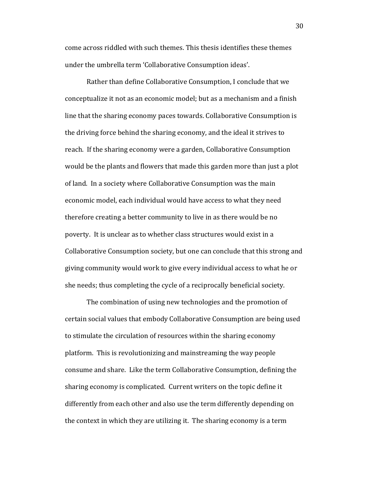come across riddled with such themes. This thesis identifies these themes under the umbrella term 'Collaborative Consumption ideas'.

Rather than define Collaborative Consumption, I conclude that we conceptualize it not as an economic model; but as a mechanism and a finish line that the sharing economy paces towards. Collaborative Consumption is the driving force behind the sharing economy, and the ideal it strives to reach. If the sharing economy were a garden, Collaborative Consumption would be the plants and flowers that made this garden more than just a plot of land. In a society where Collaborative Consumption was the main economic model, each individual would have access to what they need therefore creating a better community to live in as there would be no poverty. It is unclear as to whether class structures would exist in a Collaborative Consumption society, but one can conclude that this strong and giving community would work to give every individual access to what he or she needs; thus completing the cycle of a reciprocally beneficial society.

The combination of using new technologies and the promotion of certain social values that embody Collaborative Consumption are being used to stimulate the circulation of resources within the sharing economy platform. This is revolutionizing and mainstreaming the way people consume and share. Like the term Collaborative Consumption, defining the sharing economy is complicated. Current writers on the topic define it differently from each other and also use the term differently depending on the context in which they are utilizing it. The sharing economy is a term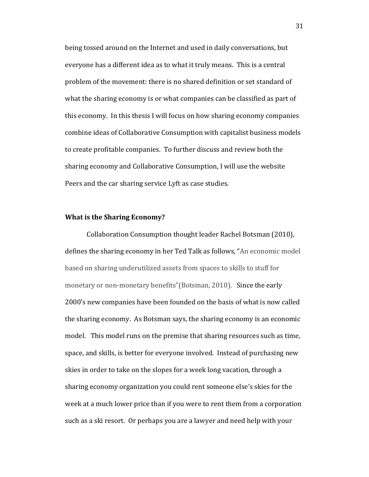being tossed around on the Internet and used in daily conversations, but everyone has a different idea as to what it truly means. This is a central problem of the movement: there is no shared definition or set standard of what the sharing economy is or what companies can be classified as part of this economy. In this thesis I will focus on how sharing economy companies combine ideas of Collaborative Consumption with capitalist business models to create profitable companies. To further discuss and review both the sharing economy and Collaborative Consumption, I will use the website Peers and the car sharing service Lyft as case studies.

#### **What is the Sharing Economy?**

Collaboration Consumption thought leader Rachel Botsman (2010), defines the sharing economy in her Ted Talk as follows, "An economic model based on sharing underutilized assets from spaces to skills to stuff for monetary or non-monetary benefits"(Botsman, 2010). Since the early 2000's new companies have been founded on the basis of what is now called the sharing economy. As Botsman says, the sharing economy is an economic model. This model runs on the premise that sharing resources such as time, space, and skills, is better for everyone involved. Instead of purchasing new skies in order to take on the slopes for a week long vacation, through a sharing economy organization you could rent someone else's skies for the week at a much lower price than if you were to rent them from a corporation such as a ski resort. Or perhaps you are a lawyer and need help with your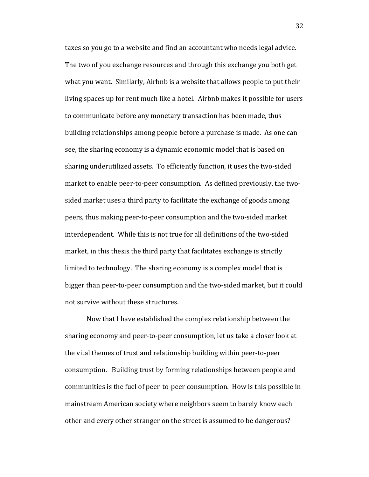taxes so you go to a website and find an accountant who needs legal advice. The two of you exchange resources and through this exchange you both get what you want. Similarly, Airbnb is a website that allows people to put their living spaces up for rent much like a hotel. Airbnb makes it possible for users to communicate before any monetary transaction has been made, thus building relationships among people before a purchase is made. As one can see, the sharing economy is a dynamic economic model that is based on sharing underutilized assets. To efficiently function, it uses the two-sided market to enable peer-to-peer consumption. As defined previously, the twosided market uses a third party to facilitate the exchange of goods among peers, thus making peer-to-peer consumption and the two-sided market interdependent. While this is not true for all definitions of the two-sided market, in this thesis the third party that facilitates exchange is strictly limited to technology. The sharing economy is a complex model that is bigger than peer-to-peer consumption and the two-sided market, but it could not survive without these structures.

Now that I have established the complex relationship between the sharing economy and peer-to-peer consumption, let us take a closer look at the vital themes of trust and relationship building within peer-to-peer consumption. Building trust by forming relationships between people and communities is the fuel of peer-to-peer consumption. How is this possible in mainstream American society where neighbors seem to barely know each other and every other stranger on the street is assumed to be dangerous?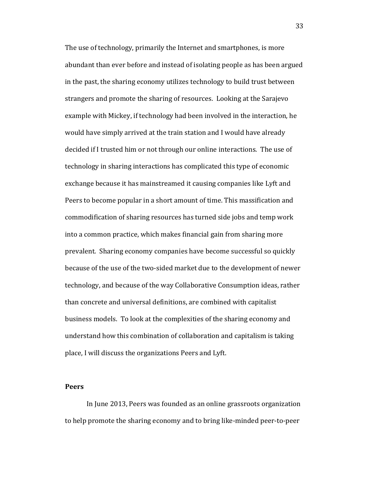The use of technology, primarily the Internet and smartphones, is more abundant than ever before and instead of isolating people as has been argued in the past, the sharing economy utilizes technology to build trust between strangers and promote the sharing of resources. Looking at the Sarajevo example with Mickey, if technology had been involved in the interaction, he would have simply arrived at the train station and I would have already decided if I trusted him or not through our online interactions. The use of technology in sharing interactions has complicated this type of economic exchange because it has mainstreamed it causing companies like Lyft and Peers to become popular in a short amount of time. This massification and commodification of sharing resources has turned side jobs and temp work into a common practice, which makes financial gain from sharing more prevalent. Sharing economy companies have become successful so quickly because of the use of the two-sided market due to the development of newer technology, and because of the way Collaborative Consumption ideas, rather than concrete and universal definitions, are combined with capitalist business models. To look at the complexities of the sharing economy and understand how this combination of collaboration and capitalism is taking place, I will discuss the organizations Peers and Lyft.

#### **Peers**

In June 2013, Peers was founded as an online grassroots organization to help promote the sharing economy and to bring like-minded peer-to-peer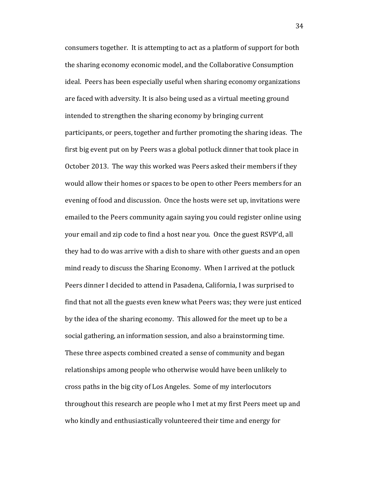consumers together. It is attempting to act as a platform of support for both the sharing economy economic model, and the Collaborative Consumption ideal. Peers has been especially useful when sharing economy organizations are faced with adversity. It is also being used as a virtual meeting ground intended to strengthen the sharing economy by bringing current participants, or peers, together and further promoting the sharing ideas. The first big event put on by Peers was a global potluck dinner that took place in October 2013. The way this worked was Peers asked their members if they would allow their homes or spaces to be open to other Peers members for an evening of food and discussion. Once the hosts were set up, invitations were emailed to the Peers community again saying you could register online using your email and zip code to find a host near you. Once the guest RSVP'd, all they had to do was arrive with a dish to share with other guests and an open mind ready to discuss the Sharing Economy. When I arrived at the potluck Peers dinner I decided to attend in Pasadena, California, I was surprised to find that not all the guests even knew what Peers was; they were just enticed by the idea of the sharing economy. This allowed for the meet up to be a social gathering, an information session, and also a brainstorming time. These three aspects combined created a sense of community and began relationships among people who otherwise would have been unlikely to cross paths in the big city of Los Angeles. Some of my interlocutors throughout this research are people who I met at my first Peers meet up and who kindly and enthusiastically volunteered their time and energy for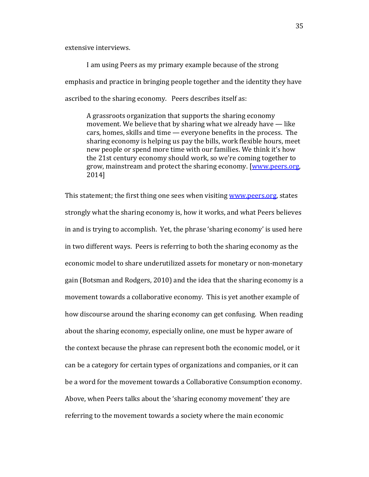extensive interviews.

I am using Peers as my primary example because of the strong emphasis and practice in bringing people together and the identity they have ascribed to the sharing economy. Peers describes itself as:

A grassroots organization that supports the sharing economy movement. We believe that by sharing what we already have — like cars, homes, skills and time — everyone benefits in the process. The sharing economy is helping us pay the bills, work flexible hours, meet new people or spend more time with our families. We think it's how the 21st century economy should work, so we're coming together to grow, mainstream and protect the sharing economy. [\[www.peers.org,](http://www.peers.org/) 2014]

This statement; the first thing one sees when visiting [www.peers.org,](http://www.peers.org/) states strongly what the sharing economy is, how it works, and what Peers believes in and is trying to accomplish. Yet, the phrase 'sharing economy' is used here in two different ways. Peers is referring to both the sharing economy as the economic model to share underutilized assets for monetary or non-monetary gain (Botsman and Rodgers, 2010) and the idea that the sharing economy is a movement towards a collaborative economy. This is yet another example of how discourse around the sharing economy can get confusing. When reading about the sharing economy, especially online, one must be hyper aware of the context because the phrase can represent both the economic model, or it can be a category for certain types of organizations and companies, or it can be a word for the movement towards a Collaborative Consumption economy. Above, when Peers talks about the 'sharing economy movement' they are referring to the movement towards a society where the main economic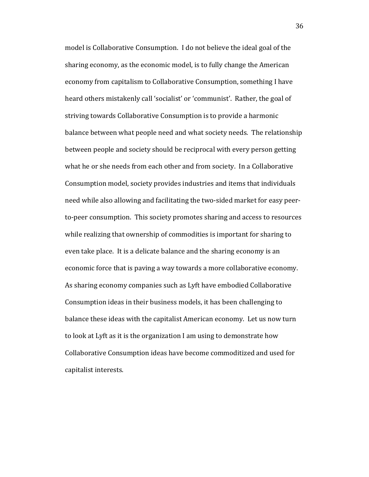model is Collaborative Consumption. I do not believe the ideal goal of the sharing economy, as the economic model, is to fully change the American economy from capitalism to Collaborative Consumption, something I have heard others mistakenly call 'socialist' or 'communist'. Rather, the goal of striving towards Collaborative Consumption is to provide a harmonic balance between what people need and what society needs. The relationship between people and society should be reciprocal with every person getting what he or she needs from each other and from society. In a Collaborative Consumption model, society provides industries and items that individuals need while also allowing and facilitating the two-sided market for easy peerto-peer consumption. This society promotes sharing and access to resources while realizing that ownership of commodities is important for sharing to even take place. It is a delicate balance and the sharing economy is an economic force that is paving a way towards a more collaborative economy. As sharing economy companies such as Lyft have embodied Collaborative Consumption ideas in their business models, it has been challenging to balance these ideas with the capitalist American economy. Let us now turn to look at Lyft as it is the organization I am using to demonstrate how Collaborative Consumption ideas have become commoditized and used for capitalist interests.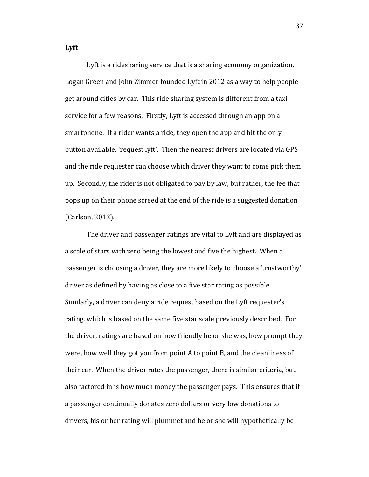**Lyft**

Lyft is a ridesharing service that is a sharing economy organization. Logan Green and John Zimmer founded Lyft in 2012 as a way to help people get around cities by car. This ride sharing system is different from a taxi service for a few reasons. Firstly, Lyft is accessed through an app on a smartphone. If a rider wants a ride, they open the app and hit the only button available: 'request lyft'. Then the nearest drivers are located via GPS and the ride requester can choose which driver they want to come pick them up. Secondly, the rider is not obligated to pay by law, but rather, the fee that pops up on their phone screed at the end of the ride is a suggested donation (Carlson, 2013).

The driver and passenger ratings are vital to Lyft and are displayed as a scale of stars with zero being the lowest and five the highest. When a passenger is choosing a driver, they are more likely to choose a 'trustworthy' driver as defined by having as close to a five star rating as possible . Similarly, a driver can deny a ride request based on the Lyft requester's rating, which is based on the same five star scale previously described. For the driver, ratings are based on how friendly he or she was, how prompt they were, how well they got you from point A to point B, and the cleanliness of their car. When the driver rates the passenger, there is similar criteria, but also factored in is how much money the passenger pays. This ensures that if a passenger continually donates zero dollars or very low donations to drivers, his or her rating will plummet and he or she will hypothetically be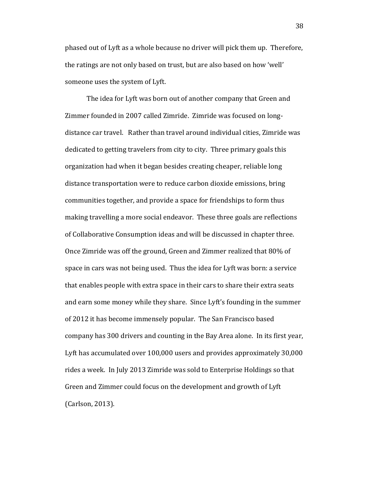phased out of Lyft as a whole because no driver will pick them up. Therefore, the ratings are not only based on trust, but are also based on how 'well' someone uses the system of Lyft.

The idea for Lyft was born out of another company that Green and Zimmer founded in 2007 called Zimride. Zimride was focused on longdistance car travel. Rather than travel around individual cities, Zimride was dedicated to getting travelers from city to city. Three primary goals this organization had when it began besides creating cheaper, reliable long distance transportation were to reduce carbon dioxide emissions, bring communities together, and provide a space for friendships to form thus making travelling a more social endeavor. These three goals are reflections of Collaborative Consumption ideas and will be discussed in chapter three. Once Zimride was off the ground, Green and Zimmer realized that 80% of space in cars was not being used. Thus the idea for Lyft was born: a service that enables people with extra space in their cars to share their extra seats and earn some money while they share. Since Lyft's founding in the summer of 2012 it has become immensely popular. The San Francisco based company has 300 drivers and counting in the Bay Area alone. In its first year, Lyft has accumulated over 100,000 users and provides approximately 30,000 rides a week. In July 2013 Zimride was sold to Enterprise Holdings so that Green and Zimmer could focus on the development and growth of Lyft (Carlson, 2013).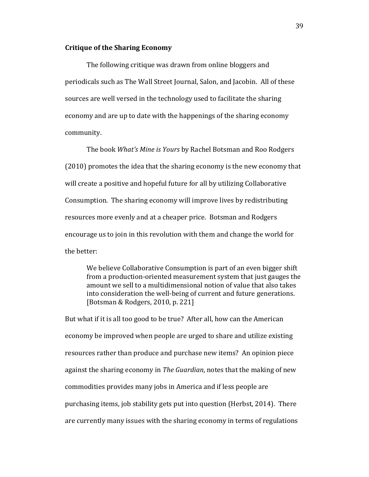#### **Critique of the Sharing Economy**

The following critique was drawn from online bloggers and periodicals such as The Wall Street Journal, Salon, and Jacobin. All of these sources are well versed in the technology used to facilitate the sharing economy and are up to date with the happenings of the sharing economy community.

The book *What's Mine is Yours* by Rachel Botsman and Roo Rodgers (2010) promotes the idea that the sharing economy is the new economy that will create a positive and hopeful future for all by utilizing Collaborative Consumption. The sharing economy will improve lives by redistributing resources more evenly and at a cheaper price. Botsman and Rodgers encourage us to join in this revolution with them and change the world for the better:

We believe Collaborative Consumption is part of an even bigger shift from a production-oriented measurement system that just gauges the amount we sell to a multidimensional notion of value that also takes into consideration the well-being of current and future generations. [Botsman & Rodgers, 2010, p. 221]

But what if it is all too good to be true? After all, how can the American economy be improved when people are urged to share and utilize existing resources rather than produce and purchase new items? An opinion piece against the sharing economy in *The Guardian*, notes that the making of new commodities provides many jobs in America and if less people are purchasing items, job stability gets put into question (Herbst, 2014). There are currently many issues with the sharing economy in terms of regulations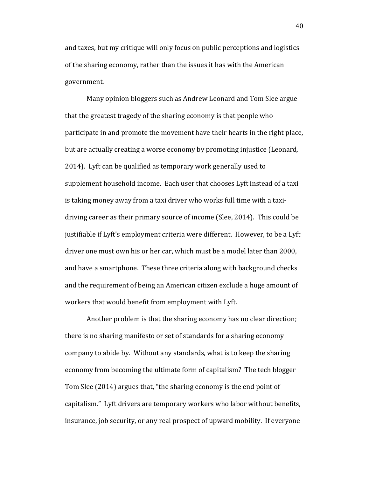and taxes, but my critique will only focus on public perceptions and logistics of the sharing economy, rather than the issues it has with the American government.

Many opinion bloggers such as Andrew Leonard and Tom Slee argue that the greatest tragedy of the sharing economy is that people who participate in and promote the movement have their hearts in the right place, but are actually creating a worse economy by promoting injustice (Leonard, 2014). Lyft can be qualified as temporary work generally used to supplement household income. Each user that chooses Lyft instead of a taxi is taking money away from a taxi driver who works full time with a taxidriving career as their primary source of income (Slee, 2014). This could be justifiable if Lyft's employment criteria were different. However, to be a Lyft driver one must own his or her car, which must be a model later than 2000, and have a smartphone. These three criteria along with background checks and the requirement of being an American citizen exclude a huge amount of workers that would benefit from employment with Lyft.

Another problem is that the sharing economy has no clear direction; there is no sharing manifesto or set of standards for a sharing economy company to abide by. Without any standards, what is to keep the sharing economy from becoming the ultimate form of capitalism? The tech blogger Tom Slee (2014) argues that, "the sharing economy is the end point of capitalism." Lyft drivers are temporary workers who labor without benefits, insurance, job security, or any real prospect of upward mobility. If everyone

40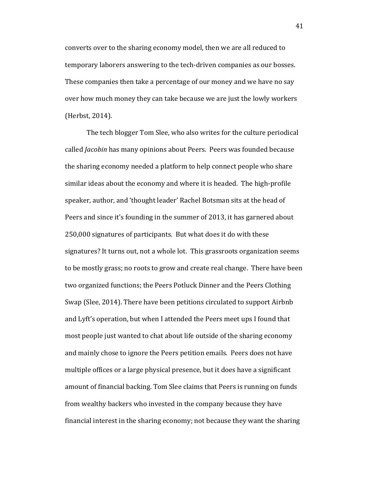converts over to the sharing economy model, then we are all reduced to temporary laborers answering to the tech-driven companies as our bosses. These companies then take a percentage of our money and we have no say over how much money they can take because we are just the lowly workers (Herbst, 2014).

The tech blogger Tom Slee, who also writes for the culture periodical called *Jacobin* has many opinions about Peers. Peers was founded because the sharing economy needed a platform to help connect people who share similar ideas about the economy and where it is headed. The high-profile speaker, author, and 'thought leader' Rachel Botsman sits at the head of Peers and since it's founding in the summer of 2013, it has garnered about 250,000 signatures of participants. But what does it do with these signatures? It turns out, not a whole lot. This grassroots organization seems to be mostly grass; no roots to grow and create real change. There have been two organized functions; the Peers Potluck Dinner and the Peers Clothing Swap (Slee, 2014). There have been petitions circulated to support Airbnb and Lyft's operation, but when I attended the Peers meet ups I found that most people just wanted to chat about life outside of the sharing economy and mainly chose to ignore the Peers petition emails. Peers does not have multiple offices or a large physical presence, but it does have a significant amount of financial backing. Tom Slee claims that Peers is running on funds from wealthy backers who invested in the company because they have financial interest in the sharing economy; not because they want the sharing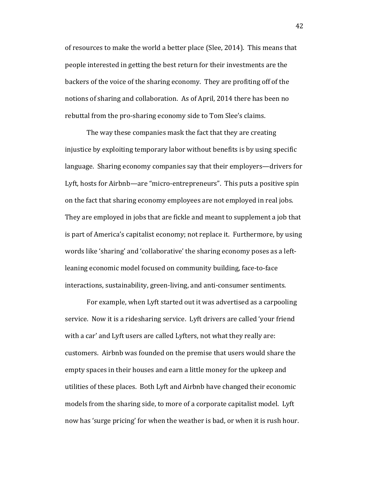of resources to make the world a better place (Slee, 2014). This means that people interested in getting the best return for their investments are the backers of the voice of the sharing economy. They are profiting off of the notions of sharing and collaboration. As of April, 2014 there has been no rebuttal from the pro-sharing economy side to Tom Slee's claims.

The way these companies mask the fact that they are creating injustice by exploiting temporary labor without benefits is by using specific language. Sharing economy companies say that their employers—drivers for Lyft, hosts for Airbnb—are "micro-entrepreneurs". This puts a positive spin on the fact that sharing economy employees are not employed in real jobs. They are employed in jobs that are fickle and meant to supplement a job that is part of America's capitalist economy; not replace it. Furthermore, by using words like 'sharing' and 'collaborative' the sharing economy poses as a leftleaning economic model focused on community building, face-to-face interactions, sustainability, green-living, and anti-consumer sentiments.

For example, when Lyft started out it was advertised as a carpooling service. Now it is a ridesharing service. Lyft drivers are called 'your friend with a car' and Lyft users are called Lyfters, not what they really are: customers. Airbnb was founded on the premise that users would share the empty spaces in their houses and earn a little money for the upkeep and utilities of these places. Both Lyft and Airbnb have changed their economic models from the sharing side, to more of a corporate capitalist model. Lyft now has 'surge pricing' for when the weather is bad, or when it is rush hour.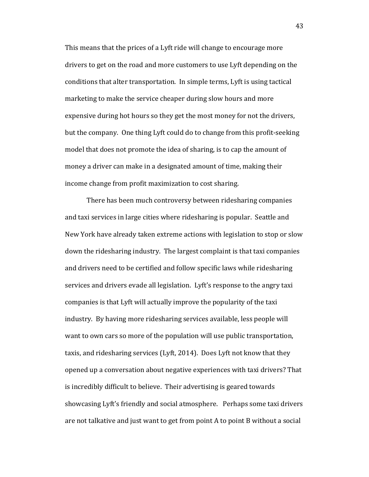This means that the prices of a Lyft ride will change to encourage more drivers to get on the road and more customers to use Lyft depending on the conditions that alter transportation. In simple terms, Lyft is using tactical marketing to make the service cheaper during slow hours and more expensive during hot hours so they get the most money for not the drivers, but the company. One thing Lyft could do to change from this profit-seeking model that does not promote the idea of sharing, is to cap the amount of money a driver can make in a designated amount of time, making their income change from profit maximization to cost sharing.

There has been much controversy between ridesharing companies and taxi services in large cities where ridesharing is popular. Seattle and New York have already taken extreme actions with legislation to stop or slow down the ridesharing industry. The largest complaint is that taxi companies and drivers need to be certified and follow specific laws while ridesharing services and drivers evade all legislation. Lyft's response to the angry taxi companies is that Lyft will actually improve the popularity of the taxi industry. By having more ridesharing services available, less people will want to own cars so more of the population will use public transportation, taxis, and ridesharing services (Lyft, 2014). Does Lyft not know that they opened up a conversation about negative experiences with taxi drivers? That is incredibly difficult to believe. Their advertising is geared towards showcasing Lyft's friendly and social atmosphere. Perhaps some taxi drivers are not talkative and just want to get from point A to point B without a social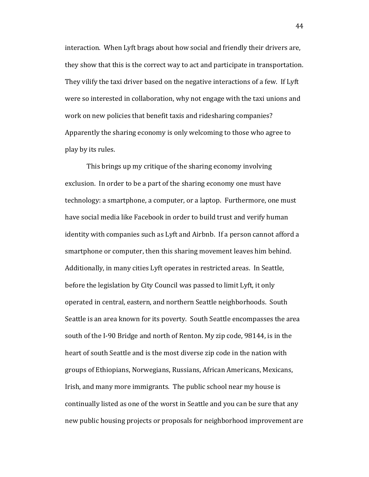interaction. When Lyft brags about how social and friendly their drivers are, they show that this is the correct way to act and participate in transportation. They vilify the taxi driver based on the negative interactions of a few. If Lyft were so interested in collaboration, why not engage with the taxi unions and work on new policies that benefit taxis and ridesharing companies? Apparently the sharing economy is only welcoming to those who agree to play by its rules.

This brings up my critique of the sharing economy involving exclusion. In order to be a part of the sharing economy one must have technology: a smartphone, a computer, or a laptop. Furthermore, one must have social media like Facebook in order to build trust and verify human identity with companies such as Lyft and Airbnb. If a person cannot afford a smartphone or computer, then this sharing movement leaves him behind. Additionally, in many cities Lyft operates in restricted areas. In Seattle, before the legislation by City Council was passed to limit Lyft, it only operated in central, eastern, and northern Seattle neighborhoods. South Seattle is an area known for its poverty. South Seattle encompasses the area south of the I-90 Bridge and north of Renton. My zip code, 98144, is in the heart of south Seattle and is the most diverse zip code in the nation with groups of Ethiopians, Norwegians, Russians, African Americans, Mexicans, Irish, and many more immigrants. The public school near my house is continually listed as one of the worst in Seattle and you can be sure that any new public housing projects or proposals for neighborhood improvement are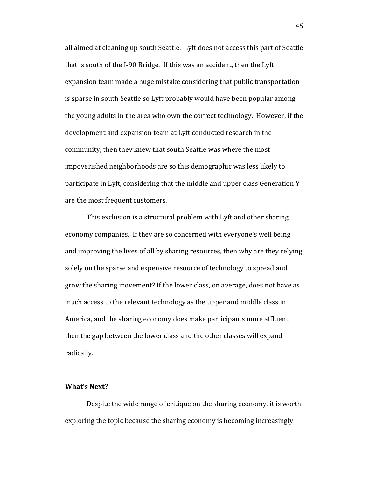all aimed at cleaning up south Seattle. Lyft does not access this part of Seattle that is south of the I-90 Bridge. If this was an accident, then the Lyft expansion team made a huge mistake considering that public transportation is sparse in south Seattle so Lyft probably would have been popular among the young adults in the area who own the correct technology. However, if the development and expansion team at Lyft conducted research in the community, then they knew that south Seattle was where the most impoverished neighborhoods are so this demographic was less likely to participate in Lyft, considering that the middle and upper class Generation Y are the most frequent customers.

This exclusion is a structural problem with Lyft and other sharing economy companies. If they are so concerned with everyone's well being and improving the lives of all by sharing resources, then why are they relying solely on the sparse and expensive resource of technology to spread and grow the sharing movement? If the lower class, on average, does not have as much access to the relevant technology as the upper and middle class in America, and the sharing economy does make participants more affluent, then the gap between the lower class and the other classes will expand radically.

#### **What's Next?**

Despite the wide range of critique on the sharing economy, it is worth exploring the topic because the sharing economy is becoming increasingly

45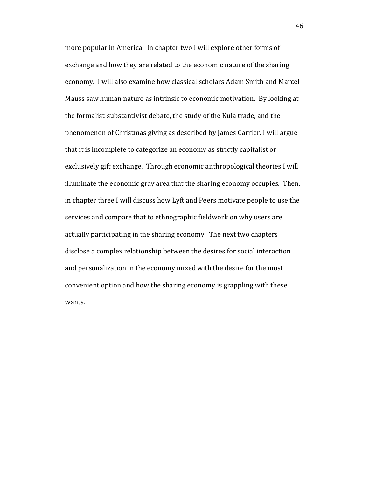more popular in America. In chapter two I will explore other forms of exchange and how they are related to the economic nature of the sharing economy. I will also examine how classical scholars Adam Smith and Marcel Mauss saw human nature as intrinsic to economic motivation. By looking at the formalist-substantivist debate, the study of the Kula trade, and the phenomenon of Christmas giving as described by James Carrier, I will argue that it is incomplete to categorize an economy as strictly capitalist or exclusively gift exchange. Through economic anthropological theories I will illuminate the economic gray area that the sharing economy occupies. Then, in chapter three I will discuss how Lyft and Peers motivate people to use the services and compare that to ethnographic fieldwork on why users are actually participating in the sharing economy. The next two chapters disclose a complex relationship between the desires for social interaction and personalization in the economy mixed with the desire for the most convenient option and how the sharing economy is grappling with these wants.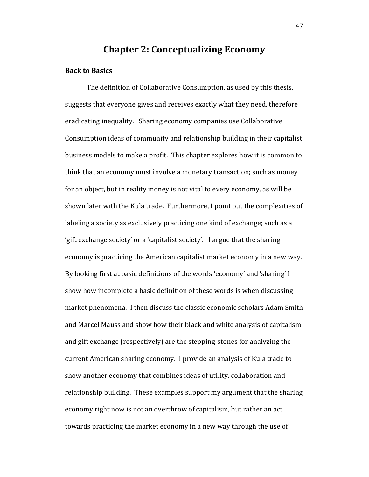## **Chapter 2: Conceptualizing Economy**

## **Back to Basics**

The definition of Collaborative Consumption, as used by this thesis, suggests that everyone gives and receives exactly what they need, therefore eradicating inequality. Sharing economy companies use Collaborative Consumption ideas of community and relationship building in their capitalist business models to make a profit. This chapter explores how it is common to think that an economy must involve a monetary transaction; such as money for an object, but in reality money is not vital to every economy, as will be shown later with the Kula trade. Furthermore, I point out the complexities of labeling a society as exclusively practicing one kind of exchange; such as a 'gift exchange society' or a 'capitalist society'. I argue that the sharing economy is practicing the American capitalist market economy in a new way. By looking first at basic definitions of the words 'economy' and 'sharing' I show how incomplete a basic definition of these words is when discussing market phenomena. I then discuss the classic economic scholars Adam Smith and Marcel Mauss and show how their black and white analysis of capitalism and gift exchange (respectively) are the stepping-stones for analyzing the current American sharing economy. I provide an analysis of Kula trade to show another economy that combines ideas of utility, collaboration and relationship building. These examples support my argument that the sharing economy right now is not an overthrow of capitalism, but rather an act towards practicing the market economy in a new way through the use of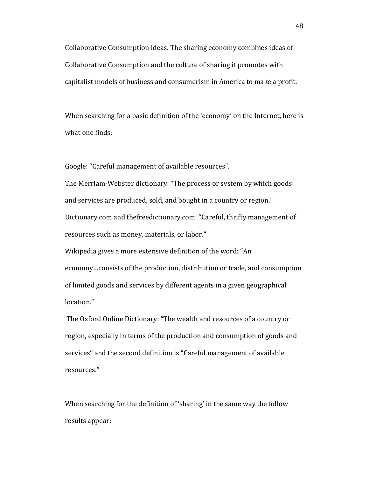Collaborative Consumption ideas. The sharing economy combines ideas of Collaborative Consumption and the culture of sharing it promotes with capitalist models of business and consumerism in America to make a profit.

When searching for a basic definition of the 'economy' on the Internet, here is what one finds:

Google: "Careful management of available resources".

The Merriam-Webster dictionary: "The process or system by which goods and services are produced, sold, and bought in a country or region." Dictionary.com and thefreedictionary.com: "Careful, thrifty management of resources such as money, materials, or labor."

Wikipedia gives a more extensive definition of the word: "An economy…consists of the production, distribution or trade, and consumption of limited goods and services by different agents in a given geographical location."

The Oxford Online Dictionary: "The wealth and resources of a country or region, especially in terms of the production and consumption of goods and services" and the second definition is "Careful management of available resources."

When searching for the definition of 'sharing' in the same way the follow results appear: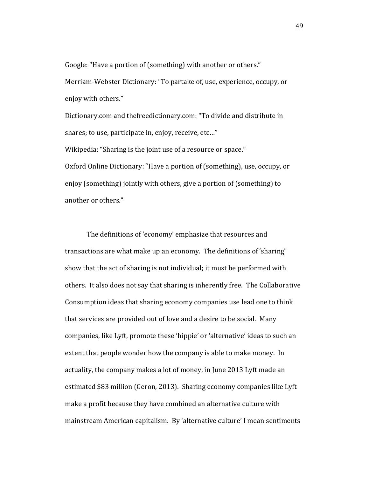Google: "Have a portion of (something) with another or others." Merriam-Webster Dictionary: "To partake of, use, experience, occupy, or enjoy with others."

Dictionary.com and thefreedictionary.com: "To divide and distribute in shares; to use, participate in, enjoy, receive, etc…" Wikipedia: "Sharing is the joint use of a resource or space."

Oxford Online Dictionary: "Have a portion of (something), use, occupy, or enjoy (something) jointly with others, give a portion of (something) to another or others."

The definitions of 'economy' emphasize that resources and transactions are what make up an economy. The definitions of 'sharing' show that the act of sharing is not individual; it must be performed with others. It also does not say that sharing is inherently free. The Collaborative Consumption ideas that sharing economy companies use lead one to think that services are provided out of love and a desire to be social. Many companies, like Lyft, promote these 'hippie' or 'alternative' ideas to such an extent that people wonder how the company is able to make money. In actuality, the company makes a lot of money, in June 2013 Lyft made an estimated \$83 million (Geron, 2013). Sharing economy companies like Lyft make a profit because they have combined an alternative culture with mainstream American capitalism. By 'alternative culture' I mean sentiments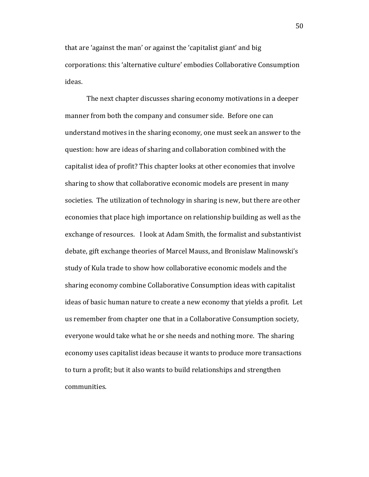that are 'against the man' or against the 'capitalist giant' and big corporations: this 'alternative culture' embodies Collaborative Consumption ideas.

The next chapter discusses sharing economy motivations in a deeper manner from both the company and consumer side. Before one can understand motives in the sharing economy, one must seek an answer to the question: how are ideas of sharing and collaboration combined with the capitalist idea of profit? This chapter looks at other economies that involve sharing to show that collaborative economic models are present in many societies. The utilization of technology in sharing is new, but there are other economies that place high importance on relationship building as well as the exchange of resources. I look at Adam Smith, the formalist and substantivist debate, gift exchange theories of Marcel Mauss, and Bronislaw Malinowski's study of Kula trade to show how collaborative economic models and the sharing economy combine Collaborative Consumption ideas with capitalist ideas of basic human nature to create a new economy that yields a profit. Let us remember from chapter one that in a Collaborative Consumption society, everyone would take what he or she needs and nothing more. The sharing economy uses capitalist ideas because it wants to produce more transactions to turn a profit; but it also wants to build relationships and strengthen communities.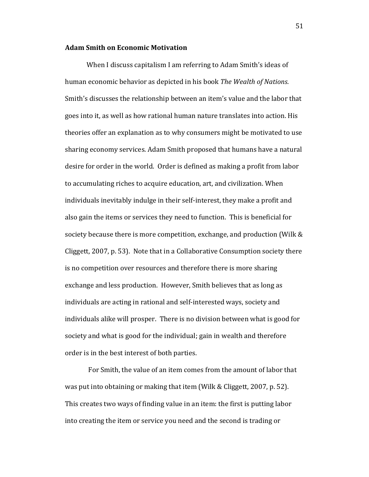#### **Adam Smith on Economic Motivation**

When I discuss capitalism I am referring to Adam Smith's ideas of human economic behavior as depicted in his book *The Wealth of Nations*. Smith's discusses the relationship between an item's value and the labor that goes into it, as well as how rational human nature translates into action. His theories offer an explanation as to why consumers might be motivated to use sharing economy services. Adam Smith proposed that humans have a natural desire for order in the world. Order is defined as making a profit from labor to accumulating riches to acquire education, art, and civilization. When individuals inevitably indulge in their self-interest, they make a profit and also gain the items or services they need to function. This is beneficial for society because there is more competition, exchange, and production (Wilk & Cliggett, 2007, p. 53). Note that in a Collaborative Consumption society there is no competition over resources and therefore there is more sharing exchange and less production. However, Smith believes that as long as individuals are acting in rational and self-interested ways, society and individuals alike will prosper. There is no division between what is good for society and what is good for the individual; gain in wealth and therefore order is in the best interest of both parties.

For Smith, the value of an item comes from the amount of labor that was put into obtaining or making that item (Wilk & Cliggett, 2007, p. 52). This creates two ways of finding value in an item: the first is putting labor into creating the item or service you need and the second is trading or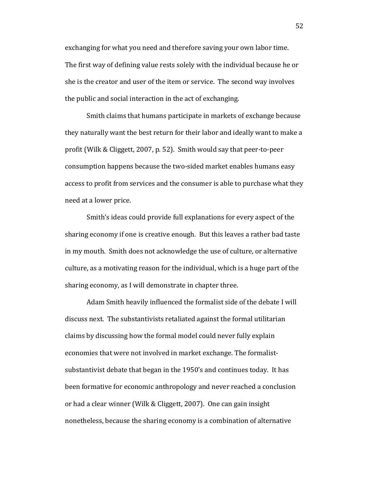exchanging for what you need and therefore saving your own labor time. The first way of defining value rests solely with the individual because he or she is the creator and user of the item or service. The second way involves the public and social interaction in the act of exchanging.

Smith claims that humans participate in markets of exchange because they naturally want the best return for their labor and ideally want to make a profit (Wilk & Cliggett, 2007, p. 52). Smith would say that peer-to-peer consumption happens because the two-sided market enables humans easy access to profit from services and the consumer is able to purchase what they need at a lower price.

Smith's ideas could provide full explanations for every aspect of the sharing economy if one is creative enough. But this leaves a rather bad taste in my mouth. Smith does not acknowledge the use of culture, or alternative culture, as a motivating reason for the individual, which is a huge part of the sharing economy, as I will demonstrate in chapter three.

Adam Smith heavily influenced the formalist side of the debate I will discuss next. The substantivists retaliated against the formal utilitarian claims by discussing how the formal model could never fully explain economies that were not involved in market exchange. The formalistsubstantivist debate that began in the 1950's and continues today. It has been formative for economic anthropology and never reached a conclusion or had a clear winner (Wilk & Cliggett, 2007). One can gain insight nonetheless, because the sharing economy is a combination of alternative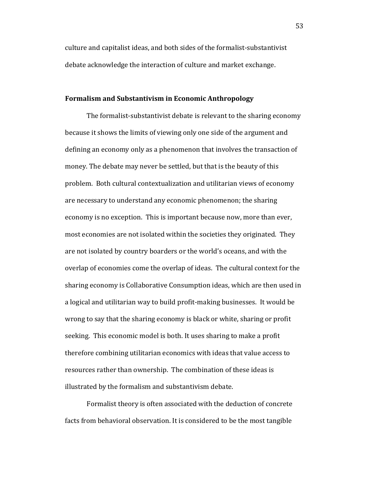culture and capitalist ideas, and both sides of the formalist-substantivist debate acknowledge the interaction of culture and market exchange.

#### **Formalism and Substantivism in Economic Anthropology**

The formalist-substantivist debate is relevant to the sharing economy because it shows the limits of viewing only one side of the argument and defining an economy only as a phenomenon that involves the transaction of money. The debate may never be settled, but that is the beauty of this problem. Both cultural contextualization and utilitarian views of economy are necessary to understand any economic phenomenon; the sharing economy is no exception. This is important because now, more than ever, most economies are not isolated within the societies they originated. They are not isolated by country boarders or the world's oceans, and with the overlap of economies come the overlap of ideas. The cultural context for the sharing economy is Collaborative Consumption ideas, which are then used in a logical and utilitarian way to build profit-making businesses. It would be wrong to say that the sharing economy is black or white, sharing or profit seeking. This economic model is both. It uses sharing to make a profit therefore combining utilitarian economics with ideas that value access to resources rather than ownership. The combination of these ideas is illustrated by the formalism and substantivism debate.

Formalist theory is often associated with the deduction of concrete facts from behavioral observation. It is considered to be the most tangible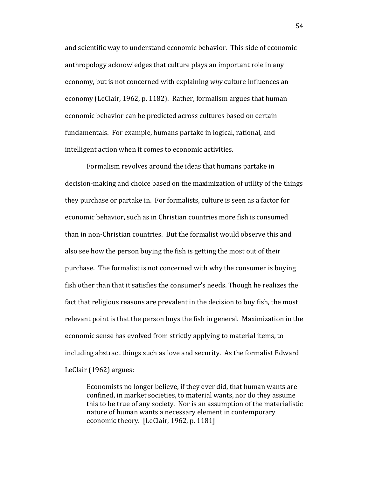and scientific way to understand economic behavior. This side of economic anthropology acknowledges that culture plays an important role in any economy, but is not concerned with explaining *why* culture influences an economy (LeClair, 1962, p. 1182). Rather, formalism argues that human economic behavior can be predicted across cultures based on certain fundamentals. For example, humans partake in logical, rational, and intelligent action when it comes to economic activities.

Formalism revolves around the ideas that humans partake in decision-making and choice based on the maximization of utility of the things they purchase or partake in. For formalists, culture is seen as a factor for economic behavior, such as in Christian countries more fish is consumed than in non-Christian countries. But the formalist would observe this and also see how the person buying the fish is getting the most out of their purchase. The formalist is not concerned with why the consumer is buying fish other than that it satisfies the consumer's needs. Though he realizes the fact that religious reasons are prevalent in the decision to buy fish, the most relevant point is that the person buys the fish in general. Maximization in the economic sense has evolved from strictly applying to material items, to including abstract things such as love and security. As the formalist Edward LeClair (1962) argues:

Economists no longer believe, if they ever did, that human wants are confined, in market societies, to material wants, nor do they assume this to be true of any society. Nor is an assumption of the materialistic nature of human wants a necessary element in contemporary economic theory. [LeClair, 1962, p. 1181]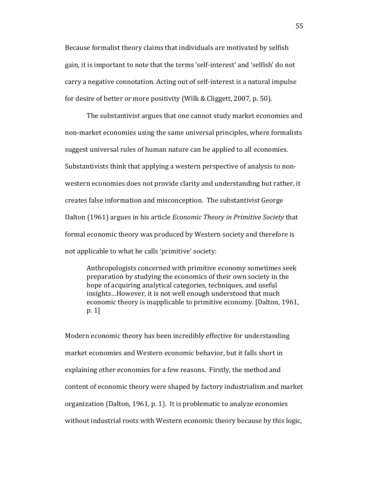Because formalist theory claims that individuals are motivated by selfish gain, it is important to note that the terms 'self-interest' and 'selfish' do not carry a negative connotation. Acting out of self-interest is a natural impulse for desire of better or more positivity (Wilk & Cliggett, 2007, p. 50).

The substantivist argues that one cannot study market economies and non-market economies using the same universal principles, where formalists suggest universal rules of human nature can be applied to all economies. Substantivists think that applying a western perspective of analysis to nonwestern economies does not provide clarity and understanding but rather, it creates false information and misconception. The substantivist George Dalton (1961) argues in his article *Economic Theory in Primitive Society* that formal economic theory was produced by Western society and therefore is not applicable to what he calls 'primitive' society:

Anthropologists concerned with primitive economy sometimes seek preparation by studying the economics of their own society in the hope of acquiring analytical categories, techniques, and useful insights…However, it is not well enough understood that much economic theory is inapplicable to primitive economy. [Dalton, 1961, p. 1]

Modern economic theory has been incredibly effective for understanding market economies and Western economic behavior, but it falls short in explaining other economies for a few reasons. Firstly, the method and content of economic theory were shaped by factory industrialism and market organization (Dalton, 1961, p. 1). It is problematic to analyze economies without industrial roots with Western economic theory because by this logic,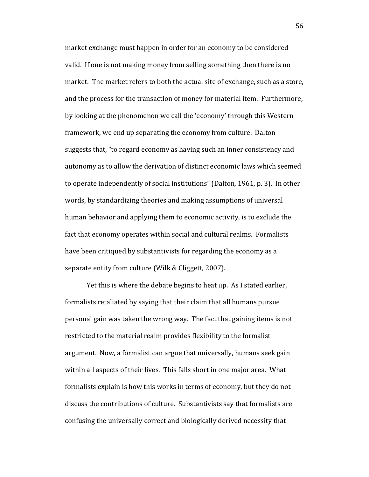market exchange must happen in order for an economy to be considered valid. If one is not making money from selling something then there is no market. The market refers to both the actual site of exchange, such as a store, and the process for the transaction of money for material item. Furthermore, by looking at the phenomenon we call the 'economy' through this Western framework, we end up separating the economy from culture. Dalton suggests that, "to regard economy as having such an inner consistency and autonomy as to allow the derivation of distinct economic laws which seemed to operate independently of social institutions" (Dalton, 1961, p. 3). In other words, by standardizing theories and making assumptions of universal human behavior and applying them to economic activity, is to exclude the fact that economy operates within social and cultural realms. Formalists have been critiqued by substantivists for regarding the economy as a separate entity from culture (Wilk & Cliggett, 2007).

Yet this is where the debate begins to heat up. As I stated earlier, formalists retaliated by saying that their claim that all humans pursue personal gain was taken the wrong way. The fact that gaining items is not restricted to the material realm provides flexibility to the formalist argument. Now, a formalist can argue that universally, humans seek gain within all aspects of their lives. This falls short in one major area. What formalists explain is how this works in terms of economy, but they do not discuss the contributions of culture. Substantivists say that formalists are confusing the universally correct and biologically derived necessity that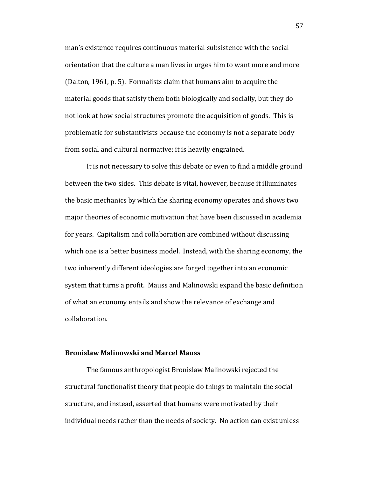man's existence requires continuous material subsistence with the social orientation that the culture a man lives in urges him to want more and more (Dalton, 1961, p. 5). Formalists claim that humans aim to acquire the material goods that satisfy them both biologically and socially, but they do not look at how social structures promote the acquisition of goods. This is problematic for substantivists because the economy is not a separate body from social and cultural normative; it is heavily engrained.

It is not necessary to solve this debate or even to find a middle ground between the two sides. This debate is vital, however, because it illuminates the basic mechanics by which the sharing economy operates and shows two major theories of economic motivation that have been discussed in academia for years. Capitalism and collaboration are combined without discussing which one is a better business model. Instead, with the sharing economy, the two inherently different ideologies are forged together into an economic system that turns a profit. Mauss and Malinowski expand the basic definition of what an economy entails and show the relevance of exchange and collaboration.

## **Bronislaw Malinowski and Marcel Mauss**

The famous anthropologist Bronislaw Malinowski rejected the structural functionalist theory that people do things to maintain the social structure, and instead, asserted that humans were motivated by their individual needs rather than the needs of society. No action can exist unless

57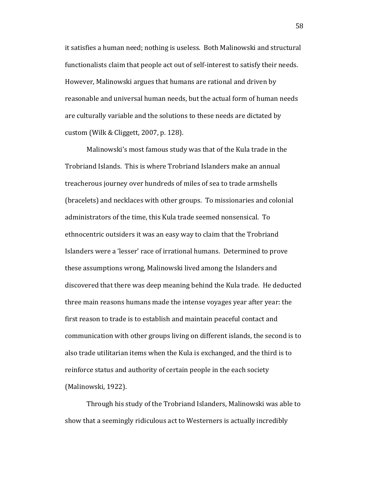it satisfies a human need; nothing is useless. Both Malinowski and structural functionalists claim that people act out of self-interest to satisfy their needs. However, Malinowski argues that humans are rational and driven by reasonable and universal human needs, but the actual form of human needs are culturally variable and the solutions to these needs are dictated by custom (Wilk & Cliggett, 2007, p. 128).

Malinowski's most famous study was that of the Kula trade in the Trobriand Islands. This is where Trobriand Islanders make an annual treacherous journey over hundreds of miles of sea to trade armshells (bracelets) and necklaces with other groups. To missionaries and colonial administrators of the time, this Kula trade seemed nonsensical. To ethnocentric outsiders it was an easy way to claim that the Trobriand Islanders were a 'lesser' race of irrational humans. Determined to prove these assumptions wrong, Malinowski lived among the Islanders and discovered that there was deep meaning behind the Kula trade. He deducted three main reasons humans made the intense voyages year after year: the first reason to trade is to establish and maintain peaceful contact and communication with other groups living on different islands, the second is to also trade utilitarian items when the Kula is exchanged, and the third is to reinforce status and authority of certain people in the each society (Malinowski, 1922).

Through his study of the Trobriand Islanders, Malinowski was able to show that a seemingly ridiculous act to Westerners is actually incredibly

58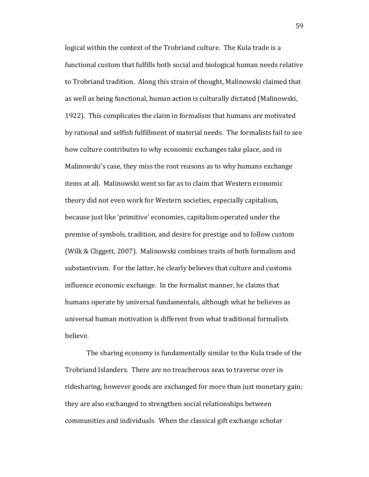logical within the context of the Trobriand culture. The Kula trade is a functional custom that fulfills both social and biological human needs relative to Trobriand tradition. Along this strain of thought, Malinowski claimed that as well as being functional, human action is culturally dictated (Malinowski, 1922). This complicates the claim in formalism that humans are motivated by rational and selfish fulfillment of material needs. The formalists fail to see how culture contributes to why economic exchanges take place, and in Malinowski's case, they miss the root reasons as to why humans exchange items at all. Malinowski went so far as to claim that Western economic theory did not even work for Western societies, especially capitalism, because just like 'primitive' economies, capitalism operated under the premise of symbols, tradition, and desire for prestige and to follow custom (Wilk & Cliggett, 2007). Malinowski combines traits of both formalism and substantivism. For the latter, he clearly believes that culture and customs influence economic exchange. In the formalist manner, he claims that humans operate by universal fundamentals, although what he believes as universal human motivation is different from what traditional formalists believe.

The sharing economy is fundamentally similar to the Kula trade of the Trobriand Islanders. There are no treacherous seas to traverse over in ridesharing, however goods are exchanged for more than just monetary gain; they are also exchanged to strengthen social relationships between communities and individuals. When the classical gift exchange scholar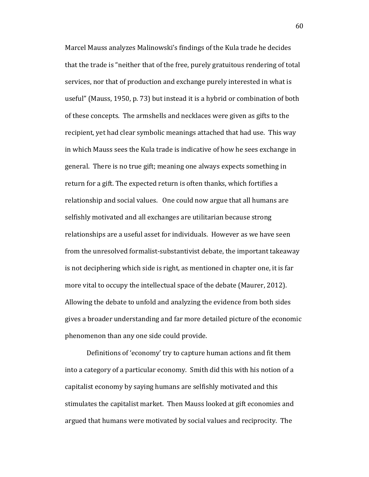Marcel Mauss analyzes Malinowski's findings of the Kula trade he decides that the trade is "neither that of the free, purely gratuitous rendering of total services, nor that of production and exchange purely interested in what is useful" (Mauss, 1950, p. 73) but instead it is a hybrid or combination of both of these concepts. The armshells and necklaces were given as gifts to the recipient, yet had clear symbolic meanings attached that had use. This way in which Mauss sees the Kula trade is indicative of how he sees exchange in general. There is no true gift; meaning one always expects something in return for a gift. The expected return is often thanks, which fortifies a relationship and social values. One could now argue that all humans are selfishly motivated and all exchanges are utilitarian because strong relationships are a useful asset for individuals. However as we have seen from the unresolved formalist-substantivist debate, the important takeaway is not deciphering which side is right, as mentioned in chapter one, it is far more vital to occupy the intellectual space of the debate (Maurer, 2012). Allowing the debate to unfold and analyzing the evidence from both sides gives a broader understanding and far more detailed picture of the economic phenomenon than any one side could provide.

Definitions of 'economy' try to capture human actions and fit them into a category of a particular economy. Smith did this with his notion of a capitalist economy by saying humans are selfishly motivated and this stimulates the capitalist market. Then Mauss looked at gift economies and argued that humans were motivated by social values and reciprocity. The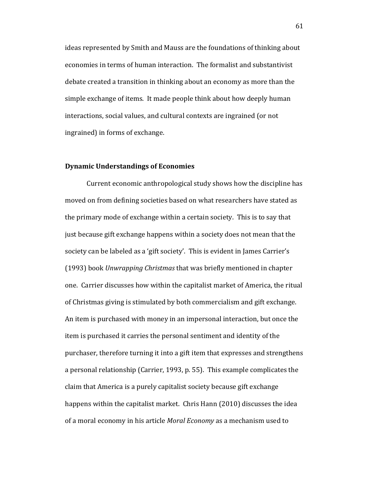ideas represented by Smith and Mauss are the foundations of thinking about economies in terms of human interaction. The formalist and substantivist debate created a transition in thinking about an economy as more than the simple exchange of items. It made people think about how deeply human interactions, social values, and cultural contexts are ingrained (or not ingrained) in forms of exchange.

## **Dynamic Understandings of Economies**

Current economic anthropological study shows how the discipline has moved on from defining societies based on what researchers have stated as the primary mode of exchange within a certain society. This is to say that just because gift exchange happens within a society does not mean that the society can be labeled as a 'gift society'. This is evident in James Carrier's (1993) book *Unwrapping Christmas* that was briefly mentioned in chapter one. Carrier discusses how within the capitalist market of America, the ritual of Christmas giving is stimulated by both commercialism and gift exchange. An item is purchased with money in an impersonal interaction, but once the item is purchased it carries the personal sentiment and identity of the purchaser, therefore turning it into a gift item that expresses and strengthens a personal relationship (Carrier, 1993, p. 55). This example complicates the claim that America is a purely capitalist society because gift exchange happens within the capitalist market. Chris Hann (2010) discusses the idea of a moral economy in his article *Moral Economy* as a mechanism used to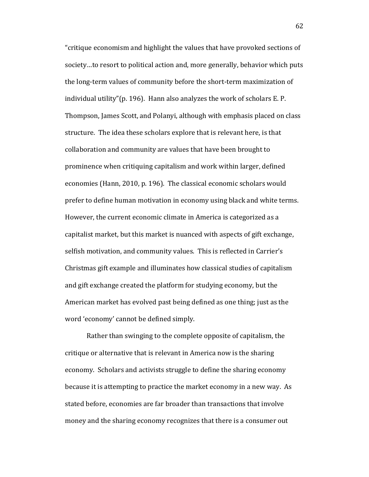"critique economism and highlight the values that have provoked sections of society…to resort to political action and, more generally, behavior which puts the long-term values of community before the short-term maximization of individual utility"(p. 196). Hann also analyzes the work of scholars E. P. Thompson, James Scott, and Polanyi, although with emphasis placed on class structure. The idea these scholars explore that is relevant here, is that collaboration and community are values that have been brought to prominence when critiquing capitalism and work within larger, defined economies (Hann, 2010, p. 196). The classical economic scholars would prefer to define human motivation in economy using black and white terms. However, the current economic climate in America is categorized as a capitalist market, but this market is nuanced with aspects of gift exchange, selfish motivation, and community values. This is reflected in Carrier's Christmas gift example and illuminates how classical studies of capitalism and gift exchange created the platform for studying economy, but the American market has evolved past being defined as one thing; just as the word 'economy' cannot be defined simply.

Rather than swinging to the complete opposite of capitalism, the critique or alternative that is relevant in America now is the sharing economy. Scholars and activists struggle to define the sharing economy because it is attempting to practice the market economy in a new way. As stated before, economies are far broader than transactions that involve money and the sharing economy recognizes that there is a consumer out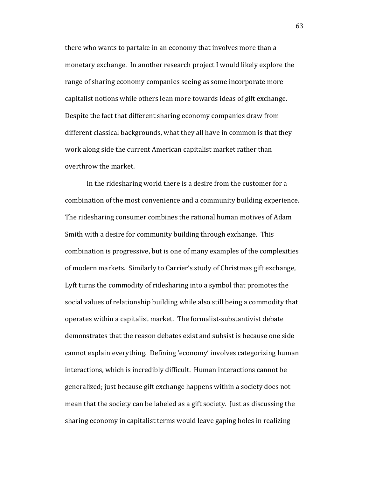there who wants to partake in an economy that involves more than a monetary exchange. In another research project I would likely explore the range of sharing economy companies seeing as some incorporate more capitalist notions while others lean more towards ideas of gift exchange. Despite the fact that different sharing economy companies draw from different classical backgrounds, what they all have in common is that they work along side the current American capitalist market rather than overthrow the market.

In the ridesharing world there is a desire from the customer for a combination of the most convenience and a community building experience. The ridesharing consumer combines the rational human motives of Adam Smith with a desire for community building through exchange. This combination is progressive, but is one of many examples of the complexities of modern markets. Similarly to Carrier's study of Christmas gift exchange, Lyft turns the commodity of ridesharing into a symbol that promotes the social values of relationship building while also still being a commodity that operates within a capitalist market. The formalist-substantivist debate demonstrates that the reason debates exist and subsist is because one side cannot explain everything. Defining 'economy' involves categorizing human interactions, which is incredibly difficult. Human interactions cannot be generalized; just because gift exchange happens within a society does not mean that the society can be labeled as a gift society. Just as discussing the sharing economy in capitalist terms would leave gaping holes in realizing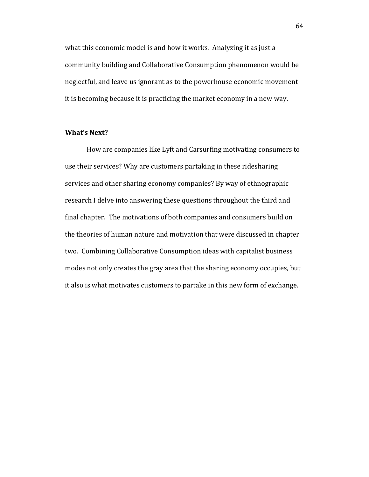what this economic model is and how it works. Analyzing it as just a community building and Collaborative Consumption phenomenon would be neglectful, and leave us ignorant as to the powerhouse economic movement it is becoming because it is practicing the market economy in a new way.

## **What's Next?**

How are companies like Lyft and Carsurfing motivating consumers to use their services? Why are customers partaking in these ridesharing services and other sharing economy companies? By way of ethnographic research I delve into answering these questions throughout the third and final chapter. The motivations of both companies and consumers build on the theories of human nature and motivation that were discussed in chapter two. Combining Collaborative Consumption ideas with capitalist business modes not only creates the gray area that the sharing economy occupies, but it also is what motivates customers to partake in this new form of exchange.

64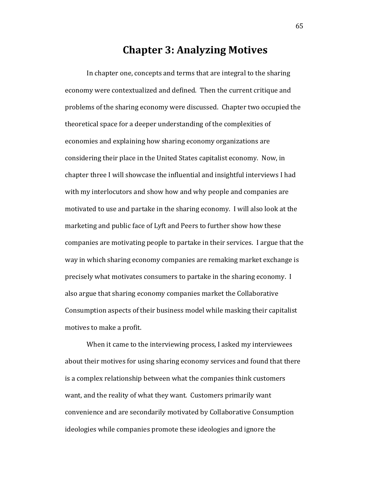# **Chapter 3: Analyzing Motives**

In chapter one, concepts and terms that are integral to the sharing economy were contextualized and defined. Then the current critique and problems of the sharing economy were discussed. Chapter two occupied the theoretical space for a deeper understanding of the complexities of economies and explaining how sharing economy organizations are considering their place in the United States capitalist economy. Now, in chapter three I will showcase the influential and insightful interviews I had with my interlocutors and show how and why people and companies are motivated to use and partake in the sharing economy. I will also look at the marketing and public face of Lyft and Peers to further show how these companies are motivating people to partake in their services. I argue that the way in which sharing economy companies are remaking market exchange is precisely what motivates consumers to partake in the sharing economy. I also argue that sharing economy companies market the Collaborative Consumption aspects of their business model while masking their capitalist motives to make a profit.

When it came to the interviewing process, I asked my interviewees about their motives for using sharing economy services and found that there is a complex relationship between what the companies think customers want, and the reality of what they want. Customers primarily want convenience and are secondarily motivated by Collaborative Consumption ideologies while companies promote these ideologies and ignore the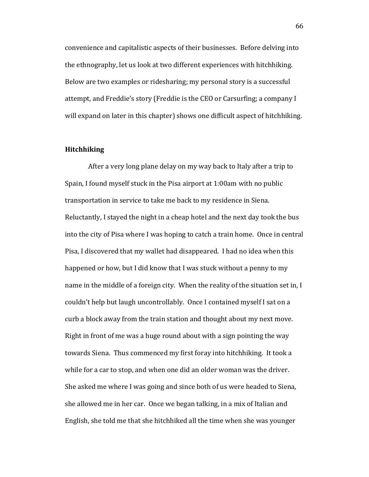convenience and capitalistic aspects of their businesses. Before delving into the ethnography, let us look at two different experiences with hitchhiking. Below are two examples or ridesharing; my personal story is a successful attempt, and Freddie's story (Freddie is the CEO or Carsurfing; a company I will expand on later in this chapter) shows one difficult aspect of hitchhiking.

## **Hitchhiking**

After a very long plane delay on my way back to Italy after a trip to Spain, I found myself stuck in the Pisa airport at 1:00am with no public transportation in service to take me back to my residence in Siena. Reluctantly, I stayed the night in a cheap hotel and the next day took the bus into the city of Pisa where I was hoping to catch a train home. Once in central Pisa, I discovered that my wallet had disappeared. I had no idea when this happened or how, but I did know that I was stuck without a penny to my name in the middle of a foreign city. When the reality of the situation set in, I couldn't help but laugh uncontrollably. Once I contained myself I sat on a curb a block away from the train station and thought about my next move. Right in front of me was a huge round about with a sign pointing the way towards Siena. Thus commenced my first foray into hitchhiking. It took a while for a car to stop, and when one did an older woman was the driver. She asked me where I was going and since both of us were headed to Siena, she allowed me in her car. Once we began talking, in a mix of Italian and English, she told me that she hitchhiked all the time when she was younger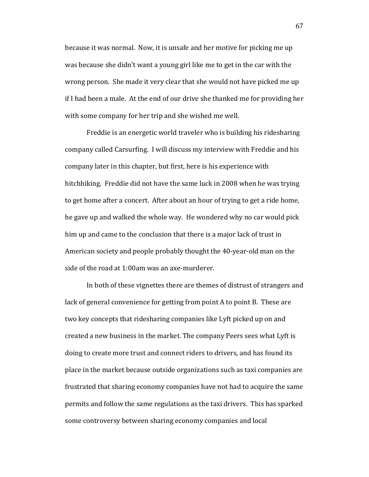because it was normal. Now, it is unsafe and her motive for picking me up was because she didn't want a young girl like me to get in the car with the wrong person. She made it very clear that she would not have picked me up if I had been a male. At the end of our drive she thanked me for providing her with some company for her trip and she wished me well.

Freddie is an energetic world traveler who is building his ridesharing company called Carsurfing. I will discuss my interview with Freddie and his company later in this chapter, but first, here is his experience with hitchhiking. Freddie did not have the same luck in 2008 when he was trying to get home after a concert. After about an hour of trying to get a ride home, he gave up and walked the whole way. He wondered why no car would pick him up and came to the conclusion that there is a major lack of trust in American society and people probably thought the 40-year-old man on the side of the road at 1:00am was an axe-murderer.

In both of these vignettes there are themes of distrust of strangers and lack of general convenience for getting from point A to point B. These are two key concepts that ridesharing companies like Lyft picked up on and created a new business in the market. The company Peers sees what Lyft is doing to create more trust and connect riders to drivers, and has found its place in the market because outside organizations such as taxi companies are frustrated that sharing economy companies have not had to acquire the same permits and follow the same regulations as the taxi drivers. This has sparked some controversy between sharing economy companies and local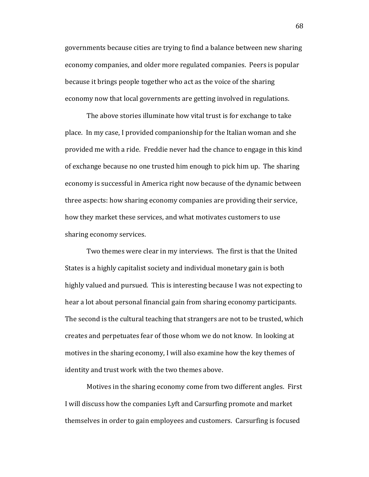governments because cities are trying to find a balance between new sharing economy companies, and older more regulated companies. Peers is popular because it brings people together who act as the voice of the sharing economy now that local governments are getting involved in regulations.

The above stories illuminate how vital trust is for exchange to take place. In my case, I provided companionship for the Italian woman and she provided me with a ride. Freddie never had the chance to engage in this kind of exchange because no one trusted him enough to pick him up. The sharing economy is successful in America right now because of the dynamic between three aspects: how sharing economy companies are providing their service, how they market these services, and what motivates customers to use sharing economy services.

Two themes were clear in my interviews. The first is that the United States is a highly capitalist society and individual monetary gain is both highly valued and pursued. This is interesting because I was not expecting to hear a lot about personal financial gain from sharing economy participants. The second is the cultural teaching that strangers are not to be trusted, which creates and perpetuates fear of those whom we do not know. In looking at motives in the sharing economy, I will also examine how the key themes of identity and trust work with the two themes above.

Motives in the sharing economy come from two different angles. First I will discuss how the companies Lyft and Carsurfing promote and market themselves in order to gain employees and customers. Carsurfing is focused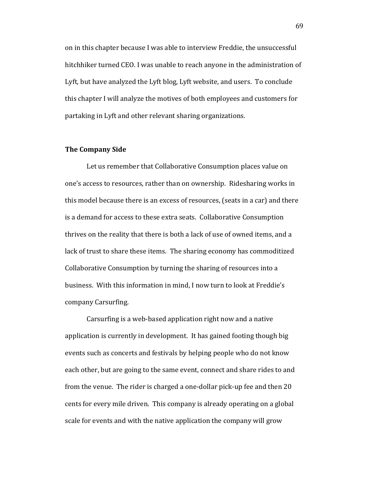on in this chapter because I was able to interview Freddie, the unsuccessful hitchhiker turned CEO. I was unable to reach anyone in the administration of Lyft, but have analyzed the Lyft blog, Lyft website, and users. To conclude this chapter I will analyze the motives of both employees and customers for partaking in Lyft and other relevant sharing organizations.

#### **The Company Side**

Let us remember that Collaborative Consumption places value on one's access to resources, rather than on ownership. Ridesharing works in this model because there is an excess of resources, (seats in a car) and there is a demand for access to these extra seats. Collaborative Consumption thrives on the reality that there is both a lack of use of owned items, and a lack of trust to share these items. The sharing economy has commoditized Collaborative Consumption by turning the sharing of resources into a business. With this information in mind, I now turn to look at Freddie's company Carsurfing.

Carsurfing is a web-based application right now and a native application is currently in development. It has gained footing though big events such as concerts and festivals by helping people who do not know each other, but are going to the same event, connect and share rides to and from the venue. The rider is charged a one-dollar pick-up fee and then 20 cents for every mile driven. This company is already operating on a global scale for events and with the native application the company will grow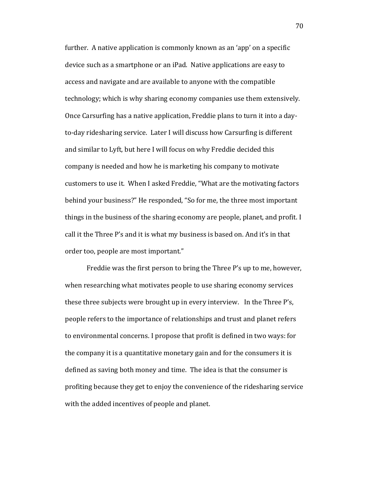further. A native application is commonly known as an 'app' on a specific device such as a smartphone or an iPad. Native applications are easy to access and navigate and are available to anyone with the compatible technology; which is why sharing economy companies use them extensively. Once Carsurfing has a native application, Freddie plans to turn it into a dayto-day ridesharing service. Later I will discuss how Carsurfing is different and similar to Lyft, but here I will focus on why Freddie decided this company is needed and how he is marketing his company to motivate customers to use it. When I asked Freddie, "What are the motivating factors behind your business?" He responded, "So for me, the three most important things in the business of the sharing economy are people, planet, and profit. I call it the Three P's and it is what my business is based on. And it's in that order too, people are most important."

Freddie was the first person to bring the Three P's up to me, however, when researching what motivates people to use sharing economy services these three subjects were brought up in every interview. In the Three P's, people refers to the importance of relationships and trust and planet refers to environmental concerns. I propose that profit is defined in two ways: for the company it is a quantitative monetary gain and for the consumers it is defined as saving both money and time. The idea is that the consumer is profiting because they get to enjoy the convenience of the ridesharing service with the added incentives of people and planet.

70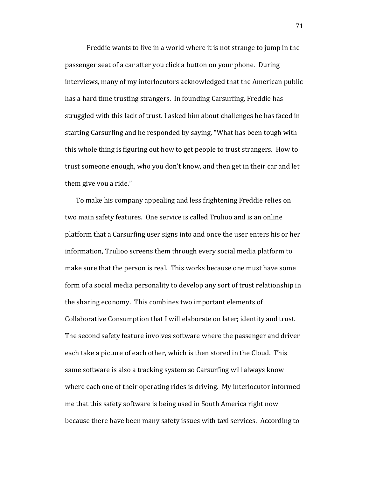Freddie wants to live in a world where it is not strange to jump in the passenger seat of a car after you click a button on your phone. During interviews, many of my interlocutors acknowledged that the American public has a hard time trusting strangers. In founding Carsurfing, Freddie has struggled with this lack of trust. I asked him about challenges he has faced in starting Carsurfing and he responded by saying, "What has been tough with this whole thing is figuring out how to get people to trust strangers. How to trust someone enough, who you don't know, and then get in their car and let them give you a ride."

To make his company appealing and less frightening Freddie relies on two main safety features. One service is called Trulioo and is an online platform that a Carsurfing user signs into and once the user enters his or her information, Trulioo screens them through every social media platform to make sure that the person is real. This works because one must have some form of a social media personality to develop any sort of trust relationship in the sharing economy. This combines two important elements of Collaborative Consumption that I will elaborate on later; identity and trust. The second safety feature involves software where the passenger and driver each take a picture of each other, which is then stored in the Cloud. This same software is also a tracking system so Carsurfing will always know where each one of their operating rides is driving. My interlocutor informed me that this safety software is being used in South America right now because there have been many safety issues with taxi services. According to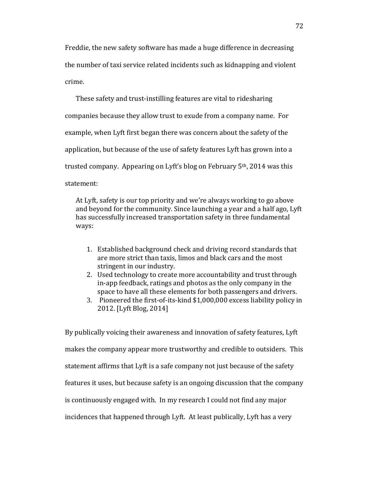Freddie, the new safety software has made a huge difference in decreasing the number of taxi service related incidents such as kidnapping and violent crime.

These safety and trust-instilling features are vital to ridesharing companies because they allow trust to exude from a company name. For example, when Lyft first began there was concern about the safety of the application, but because of the use of safety features Lyft has grown into a trusted company. Appearing on Lyft's blog on February 5th, 2014 was this statement:

At Lyft, safety is our top priority and we're always working to go above and beyond for the community. Since launching a year and a half ago, Lyft has successfully increased transportation safety in three fundamental ways:

- 1. Established background check and driving record standards that are [more strict than taxis, limos and black cars](http://blog.lyft.com/post/56918833224/transportation-trust-safety-comparison) and the most stringent in our industry.
- 2. Used technology to create more accountability and trust through in-app feedback, ratings and photos as the only company in the space to have all these elements for both passengers and drivers.
- 3. Pioneered the first-of-its-kind \$1,000,000 excess liability policy in 2012. [Lyft Blog, 2014]

By publically voicing their awareness and innovation of safety features, Lyft makes the company appear more trustworthy and credible to outsiders. This statement affirms that Lyft is a safe company not just because of the safety features it uses, but because safety is an ongoing discussion that the company is continuously engaged with. In my research I could not find any major incidences that happened through Lyft. At least publically, Lyft has a very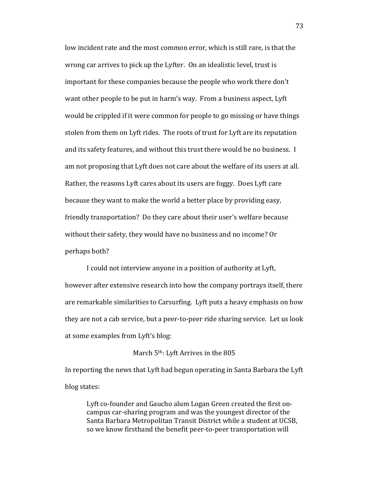low incident rate and the most common error, which is still rare, is that the wrong car arrives to pick up the Lyfter. On an idealistic level, trust is important for these companies because the people who work there don't want other people to be put in harm's way. From a business aspect, Lyft would be crippled if it were common for people to go missing or have things stolen from them on Lyft rides. The roots of trust for Lyft are its reputation and its safety features, and without this trust there would be no business. I am not proposing that Lyft does not care about the welfare of its users at all. Rather, the reasons Lyft cares about its users are foggy. Does Lyft care because they want to make the world a better place by providing easy, friendly transportation? Do they care about their user's welfare because without their safety, they would have no business and no income? Or perhaps both?

I could not interview anyone in a position of authority at Lyft, however after extensive research into how the company portrays itself, there are remarkable similarities to Carsurfing. Lyft puts a heavy emphasis on how they are not a cab service, but a peer-to-peer ride sharing service. Let us look at some examples from Lyft's blog:

March 5<sup>th</sup>: Lyft Arrives in the 805

In reporting the news that Lyft had begun operating in Santa Barbara the Lyft blog states:

Lyft co-founder and Gaucho alum Logan Green created the first oncampus car-sharing program and was the youngest director of the Santa Barbara Metropolitan Transit District while a student at UCSB, so we know firsthand the benefit peer-to-peer transportation will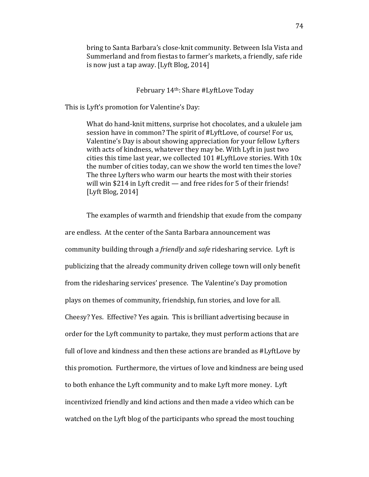bring to Santa Barbara's close-knit community. Between Isla Vista and Summerland and from fiestas to farmer's markets, a friendly, safe ride is now just a tap away. [Lyft Blog, 2014]

### February 14th: Share #LyftLove Today

This is Lyft's promotion for Valentine's Day:

What do hand-knit mittens, surprise hot chocolates, and a ukulele jam session have in common? The spirit of #LyftLove, of course! For us, Valentine's Day is about showing appreciation for your fellow Lyfters with acts of kindness, whatever they may be. With Lyft in just two cities this time last year, we collected 101 #LyftLove stories. With 10x the number of cities today, can we show the world ten times the love? The three Lyfters who warm our hearts the most with their stories will win \$214 in Lyft credit — and free rides for 5 of their friends! [Lyft Blog, 2014]

The examples of warmth and friendship that exude from the company are endless. At the center of the Santa Barbara announcement was community building through a *friendly* and *safe* ridesharing service. Lyft is publicizing that the already community driven college town will only benefit from the ridesharing services' presence. The Valentine's Day promotion plays on themes of community, friendship, fun stories, and love for all. Cheesy? Yes. Effective? Yes again. This is brilliant advertising because in order for the Lyft community to partake, they must perform actions that are full of love and kindness and then these actions are branded as #LyftLove by this promotion. Furthermore, the virtues of love and kindness are being used to both enhance the Lyft community and to make Lyft more money. Lyft incentivized friendly and kind actions and then made a video which can be watched on the Lyft blog of the participants who spread the most touching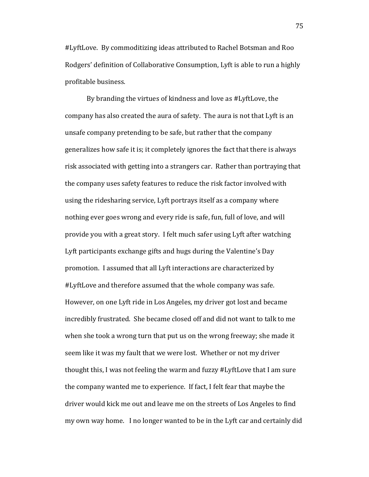#LyftLove. By commoditizing ideas attributed to Rachel Botsman and Roo Rodgers' definition of Collaborative Consumption, Lyft is able to run a highly profitable business.

By branding the virtues of kindness and love as #LyftLove, the company has also created the aura of safety. The aura is not that Lyft is an unsafe company pretending to be safe, but rather that the company generalizes how safe it is; it completely ignores the fact that there is always risk associated with getting into a strangers car. Rather than portraying that the company uses safety features to reduce the risk factor involved with using the ridesharing service, Lyft portrays itself as a company where nothing ever goes wrong and every ride is safe, fun, full of love, and will provide you with a great story. I felt much safer using Lyft after watching Lyft participants exchange gifts and hugs during the Valentine's Day promotion. I assumed that all Lyft interactions are characterized by #LyftLove and therefore assumed that the whole company was safe. However, on one Lyft ride in Los Angeles, my driver got lost and became incredibly frustrated. She became closed off and did not want to talk to me when she took a wrong turn that put us on the wrong freeway; she made it seem like it was my fault that we were lost. Whether or not my driver thought this, I was not feeling the warm and fuzzy #LyftLove that I am sure the company wanted me to experience. If fact, I felt fear that maybe the driver would kick me out and leave me on the streets of Los Angeles to find my own way home. I no longer wanted to be in the Lyft car and certainly did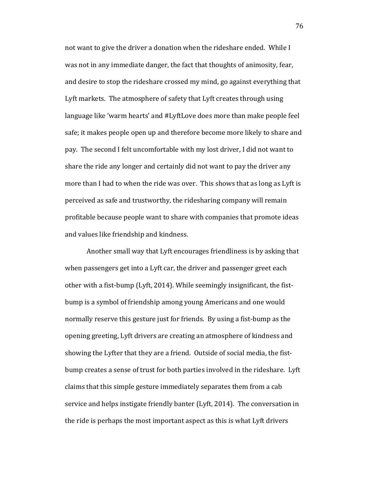not want to give the driver a donation when the rideshare ended. While I was not in any immediate danger, the fact that thoughts of animosity, fear, and desire to stop the rideshare crossed my mind, go against everything that Lyft markets. The atmosphere of safety that Lyft creates through using language like 'warm hearts' and #LyftLove does more than make people feel safe; it makes people open up and therefore become more likely to share and pay. The second I felt uncomfortable with my lost driver, I did not want to share the ride any longer and certainly did not want to pay the driver any more than I had to when the ride was over. This shows that as long as Lyft is perceived as safe and trustworthy, the ridesharing company will remain profitable because people want to share with companies that promote ideas and values like friendship and kindness.

Another small way that Lyft encourages friendliness is by asking that when passengers get into a Lyft car, the driver and passenger greet each other with a fist-bump (Lyft, 2014). While seemingly insignificant, the fistbump is a symbol of friendship among young Americans and one would normally reserve this gesture just for friends. By using a fist-bump as the opening greeting, Lyft drivers are creating an atmosphere of kindness and showing the Lyfter that they are a friend. Outside of social media, the fistbump creates a sense of trust for both parties involved in the rideshare. Lyft claims that this simple gesture immediately separates them from a cab service and helps instigate friendly banter (Lyft, 2014). The conversation in the ride is perhaps the most important aspect as this is what Lyft drivers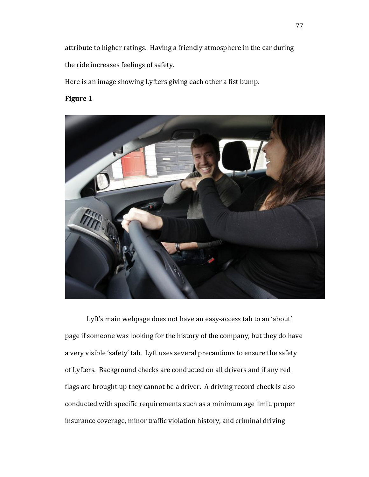attribute to higher ratings. Having a friendly atmosphere in the car during the ride increases feelings of safety.

Here is an image showing Lyfters giving each other a fist bump.

## **Figure 1**



Lyft's main webpage does not have an easy-access tab to an 'about' page if someone was looking for the history of the company, but they do have a very visible 'safety' tab. Lyft uses several precautions to ensure the safety of Lyfters. Background checks are conducted on all drivers and if any red flags are brought up they cannot be a driver. A driving record check is also conducted with specific requirements such as a minimum age limit, proper insurance coverage, minor traffic violation history, and criminal driving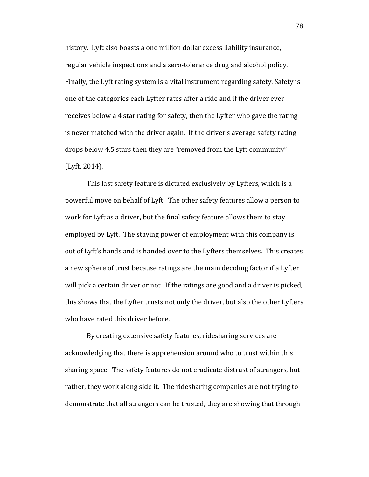history. Lyft also boasts a one million dollar excess liability insurance, regular vehicle inspections and a zero-tolerance drug and alcohol policy. Finally, the Lyft rating system is a vital instrument regarding safety. Safety is one of the categories each Lyfter rates after a ride and if the driver ever receives below a 4 star rating for safety, then the Lyfter who gave the rating is never matched with the driver again. If the driver's average safety rating drops below 4.5 stars then they are "removed from the Lyft community" (Lyft, 2014).

This last safety feature is dictated exclusively by Lyfters, which is a powerful move on behalf of Lyft. The other safety features allow a person to work for Lyft as a driver, but the final safety feature allows them to stay employed by Lyft. The staying power of employment with this company is out of Lyft's hands and is handed over to the Lyfters themselves. This creates a new sphere of trust because ratings are the main deciding factor if a Lyfter will pick a certain driver or not. If the ratings are good and a driver is picked, this shows that the Lyfter trusts not only the driver, but also the other Lyfters who have rated this driver before.

By creating extensive safety features, ridesharing services are acknowledging that there is apprehension around who to trust within this sharing space. The safety features do not eradicate distrust of strangers, but rather, they work along side it. The ridesharing companies are not trying to demonstrate that all strangers can be trusted, they are showing that through

78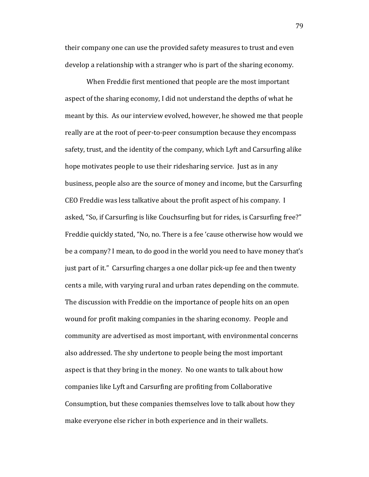their company one can use the provided safety measures to trust and even develop a relationship with a stranger who is part of the sharing economy.

When Freddie first mentioned that people are the most important aspect of the sharing economy, I did not understand the depths of what he meant by this. As our interview evolved, however, he showed me that people really are at the root of peer-to-peer consumption because they encompass safety, trust, and the identity of the company, which Lyft and Carsurfing alike hope motivates people to use their ridesharing service. Just as in any business, people also are the source of money and income, but the Carsurfing CEO Freddie was less talkative about the profit aspect of his company. I asked, "So, if Carsurfing is like Couchsurfing but for rides, is Carsurfing free?" Freddie quickly stated, "No, no. There is a fee 'cause otherwise how would we be a company? I mean, to do good in the world you need to have money that's just part of it." Carsurfing charges a one dollar pick-up fee and then twenty cents a mile, with varying rural and urban rates depending on the commute. The discussion with Freddie on the importance of people hits on an open wound for profit making companies in the sharing economy. People and community are advertised as most important, with environmental concerns also addressed. The shy undertone to people being the most important aspect is that they bring in the money. No one wants to talk about how companies like Lyft and Carsurfing are profiting from Collaborative Consumption, but these companies themselves love to talk about how they make everyone else richer in both experience and in their wallets.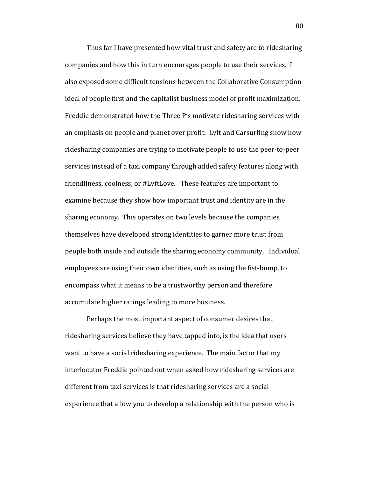Thus far I have presented how vital trust and safety are to ridesharing companies and how this in turn encourages people to use their services. I also exposed some difficult tensions between the Collaborative Consumption ideal of people first and the capitalist business model of profit maximization. Freddie demonstrated how the Three P's motivate ridesharing services with an emphasis on people and planet over profit. Lyft and Carsurfing show how ridesharing companies are trying to motivate people to use the peer-to-peer services instead of a taxi company through added safety features along with friendliness, coolness, or #LyftLove. These features are important to examine because they show how important trust and identity are in the sharing economy. This operates on two levels because the companies themselves have developed strong identities to garner more trust from people both inside and outside the sharing economy community. Individual employees are using their own identities, such as using the fist-bump, to encompass what it means to be a trustworthy person and therefore accumulate higher ratings leading to more business.

Perhaps the most important aspect of consumer desires that ridesharing services believe they have tapped into, is the idea that users want to have a social ridesharing experience. The main factor that my interlocutor Freddie pointed out when asked how ridesharing services are different from taxi services is that ridesharing services are a social experience that allow you to develop a relationship with the person who is

80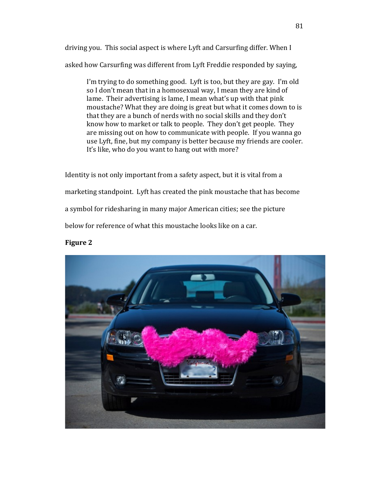driving you. This social aspect is where Lyft and Carsurfing differ. When I asked how Carsurfing was different from Lyft Freddie responded by saying,

I'm trying to do something good. Lyft is too, but they are gay. I'm old so I don't mean that in a homosexual way, I mean they are kind of lame. Their advertising is lame, I mean what's up with that pink moustache? What they are doing is great but what it comes down to is that they are a bunch of nerds with no social skills and they don't know how to market or talk to people. They don't get people. They are missing out on how to communicate with people. If you wanna go use Lyft, fine, but my company is better because my friends are cooler. It's like, who do you want to hang out with more?

Identity is not only important from a safety aspect, but it is vital from a marketing standpoint. Lyft has created the pink moustache that has become a symbol for ridesharing in many major American cities; see the picture below for reference of what this moustache looks like on a car.

### **Figure 2**

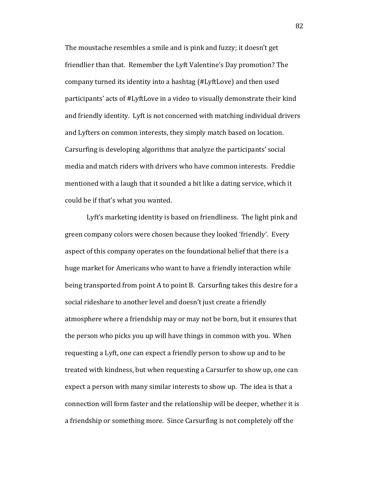The moustache resembles a smile and is pink and fuzzy; it doesn't get friendlier than that. Remember the Lyft Valentine's Day promotion? The company turned its identity into a hashtag (#LyftLove) and then used participants' acts of #LyftLove in a video to visually demonstrate their kind and friendly identity. Lyft is not concerned with matching individual drivers and Lyfters on common interests, they simply match based on location. Carsurfing is developing algorithms that analyze the participants' social media and match riders with drivers who have common interests. Freddie mentioned with a laugh that it sounded a bit like a dating service, which it could be if that's what you wanted.

Lyft's marketing identity is based on friendliness. The light pink and green company colors were chosen because they looked 'friendly'. Every aspect of this company operates on the foundational belief that there is a huge market for Americans who want to have a friendly interaction while being transported from point A to point B. Carsurfing takes this desire for a social rideshare to another level and doesn't just create a friendly atmosphere where a friendship may or may not be born, but it ensures that the person who picks you up will have things in common with you. When requesting a Lyft, one can expect a friendly person to show up and to be treated with kindness, but when requesting a Carsurfer to show up, one can expect a person with many similar interests to show up. The idea is that a connection will form faster and the relationship will be deeper, whether it is a friendship or something more. Since Carsurfing is not completely off the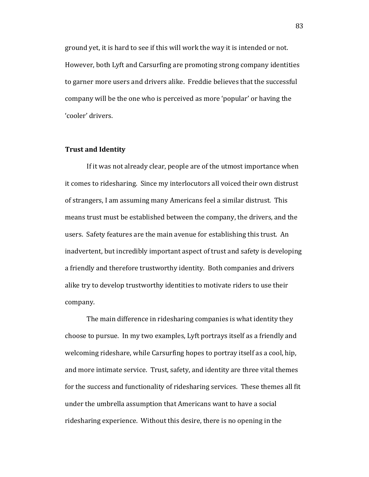ground yet, it is hard to see if this will work the way it is intended or not. However, both Lyft and Carsurfing are promoting strong company identities to garner more users and drivers alike. Freddie believes that the successful company will be the one who is perceived as more 'popular' or having the 'cooler' drivers.

#### **Trust and Identity**

If it was not already clear, people are of the utmost importance when it comes to ridesharing. Since my interlocutors all voiced their own distrust of strangers, I am assuming many Americans feel a similar distrust. This means trust must be established between the company, the drivers, and the users. Safety features are the main avenue for establishing this trust. An inadvertent, but incredibly important aspect of trust and safety is developing a friendly and therefore trustworthy identity. Both companies and drivers alike try to develop trustworthy identities to motivate riders to use their company.

The main difference in ridesharing companies is what identity they choose to pursue. In my two examples, Lyft portrays itself as a friendly and welcoming rideshare, while Carsurfing hopes to portray itself as a cool, hip, and more intimate service. Trust, safety, and identity are three vital themes for the success and functionality of ridesharing services. These themes all fit under the umbrella assumption that Americans want to have a social ridesharing experience. Without this desire, there is no opening in the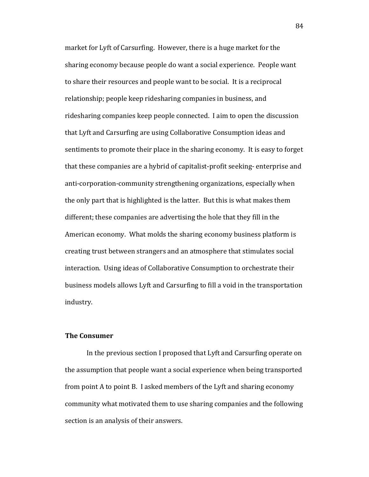market for Lyft of Carsurfing. However, there is a huge market for the sharing economy because people do want a social experience. People want to share their resources and people want to be social. It is a reciprocal relationship; people keep ridesharing companies in business, and ridesharing companies keep people connected. I aim to open the discussion that Lyft and Carsurfing are using Collaborative Consumption ideas and sentiments to promote their place in the sharing economy. It is easy to forget that these companies are a hybrid of capitalist-profit seeking- enterprise and anti-corporation-community strengthening organizations, especially when the only part that is highlighted is the latter. But this is what makes them different; these companies are advertising the hole that they fill in the American economy. What molds the sharing economy business platform is creating trust between strangers and an atmosphere that stimulates social interaction. Using ideas of Collaborative Consumption to orchestrate their business models allows Lyft and Carsurfing to fill a void in the transportation industry.

#### **The Consumer**

In the previous section I proposed that Lyft and Carsurfing operate on the assumption that people want a social experience when being transported from point A to point B. I asked members of the Lyft and sharing economy community what motivated them to use sharing companies and the following section is an analysis of their answers.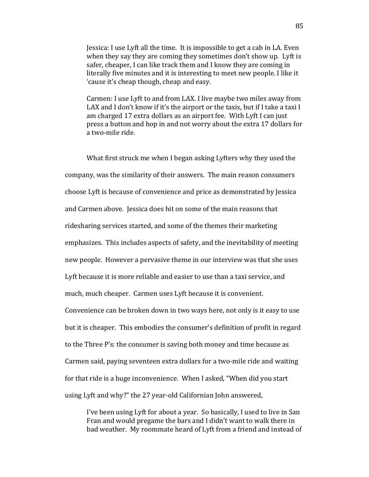Jessica: I use Lyft all the time. It is impossible to get a cab in LA. Even when they say they are coming they sometimes don't show up. Lyft is safer, cheaper, I can like track them and I know they are coming in literally five minutes and it is interesting to meet new people. I like it 'cause it's cheap though, cheap and easy.

Carmen: I use Lyft to and from LAX. I live maybe two miles away from LAX and I don't know if it's the airport or the taxis, but if I take a taxi I am charged 17 extra dollars as an airport fee. With Lyft I can just press a button and hop in and not worry about the extra 17 dollars for a two-mile ride.

What first struck me when I began asking Lyfters why they used the company, was the similarity of their answers. The main reason consumers choose Lyft is because of convenience and price as demonstrated by Jessica and Carmen above. Jessica does hit on some of the main reasons that ridesharing services started, and some of the themes their marketing emphasizes. This includes aspects of safety, and the inevitability of meeting new people. However a pervasive theme in our interview was that she uses Lyft because it is more reliable and easier to use than a taxi service, and much, much cheaper. Carmen uses Lyft because it is convenient. Convenience can be broken down in two ways here, not only is it easy to use but it is cheaper. This embodies the consumer's definition of profit in regard to the Three P's: the consumer is saving both money and time because as Carmen said, paying seventeen extra dollars for a two-mile ride and waiting for that ride is a huge inconvenience. When I asked, "When did you start using Lyft and why?" the 27 year-old Californian John answered,

I've been using Lyft for about a year. So basically, I used to live in San Fran and would pregame the bars and I didn't want to walk there in bad weather. My roommate heard of Lyft from a friend and instead of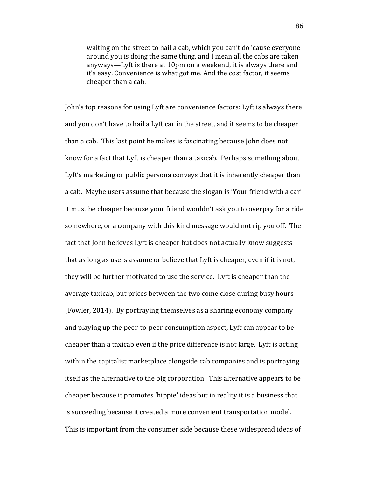waiting on the street to hail a cab, which you can't do 'cause everyone around you is doing the same thing, and I mean all the cabs are taken anyways—Lyft is there at 10pm on a weekend, it is always there and it's easy. Convenience is what got me. And the cost factor, it seems cheaper than a cab.

John's top reasons for using Lyft are convenience factors: Lyft is always there and you don't have to hail a Lyft car in the street, and it seems to be cheaper than a cab. This last point he makes is fascinating because John does not know for a fact that Lyft is cheaper than a taxicab. Perhaps something about Lyft's marketing or public persona conveys that it is inherently cheaper than a cab. Maybe users assume that because the slogan is 'Your friend with a car' it must be cheaper because your friend wouldn't ask you to overpay for a ride somewhere, or a company with this kind message would not rip you off. The fact that John believes Lyft is cheaper but does not actually know suggests that as long as users assume or believe that Lyft is cheaper, even if it is not, they will be further motivated to use the service. Lyft is cheaper than the average taxicab, but prices between the two come close during busy hours (Fowler, 2014). By portraying themselves as a sharing economy company and playing up the peer-to-peer consumption aspect, Lyft can appear to be cheaper than a taxicab even if the price difference is not large. Lyft is acting within the capitalist marketplace alongside cab companies and is portraying itself as the alternative to the big corporation. This alternative appears to be cheaper because it promotes 'hippie' ideas but in reality it is a business that is succeeding because it created a more convenient transportation model. This is important from the consumer side because these widespread ideas of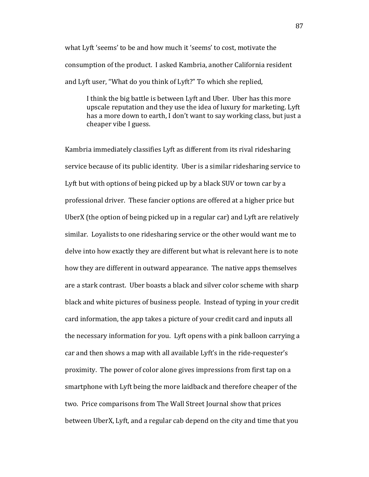what Lyft 'seems' to be and how much it 'seems' to cost, motivate the consumption of the product. I asked Kambria, another California resident and Lyft user, "What do you think of Lyft?" To which she replied,

I think the big battle is between Lyft and Uber. Uber has this more upscale reputation and they use the idea of luxury for marketing. Lyft has a more down to earth, I don't want to say working class, but just a cheaper vibe I guess.

Kambria immediately classifies Lyft as different from its rival ridesharing service because of its public identity. Uber is a similar ridesharing service to Lyft but with options of being picked up by a black SUV or town car by a professional driver. These fancier options are offered at a higher price but UberX (the option of being picked up in a regular car) and Lyft are relatively similar. Loyalists to one ridesharing service or the other would want me to delve into how exactly they are different but what is relevant here is to note how they are different in outward appearance. The native apps themselves are a stark contrast. Uber boasts a black and silver color scheme with sharp black and white pictures of business people. Instead of typing in your credit card information, the app takes a picture of your credit card and inputs all the necessary information for you. Lyft opens with a pink balloon carrying a car and then shows a map with all available Lyft's in the ride-requester's proximity. The power of color alone gives impressions from first tap on a smartphone with Lyft being the more laidback and therefore cheaper of the two. Price comparisons from The Wall Street Journal show that prices between UberX, Lyft, and a regular cab depend on the city and time that you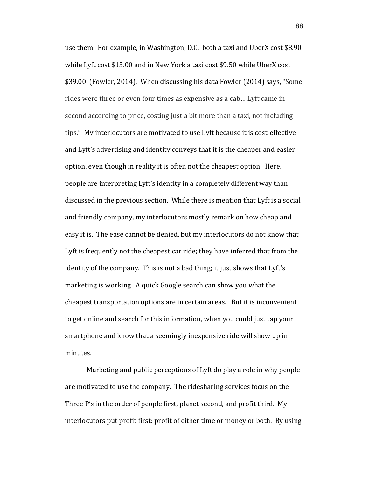use them. For example, in Washington, D.C. both a taxi and UberX cost \$8.90 while Lyft cost \$15.00 and in New York a taxi cost \$9.50 while UberX cost \$39.00 (Fowler, 2014). When discussing his data Fowler (2014) says, "Some rides were three or even four times as expensive as a cab… Lyft came in second according to price, costing just a bit more than a taxi, not including tips." My interlocutors are motivated to use Lyft because it is cost-effective and Lyft's advertising and identity conveys that it is the cheaper and easier option, even though in reality it is often not the cheapest option. Here, people are interpreting Lyft's identity in a completely different way than discussed in the previous section. While there is mention that Lyft is a social and friendly company, my interlocutors mostly remark on how cheap and easy it is. The ease cannot be denied, but my interlocutors do not know that Lyft is frequently not the cheapest car ride; they have inferred that from the identity of the company. This is not a bad thing; it just shows that Lyft's marketing is working. A quick Google search can show you what the cheapest transportation options are in certain areas. But it is inconvenient to get online and search for this information, when you could just tap your smartphone and know that a seemingly inexpensive ride will show up in minutes.

Marketing and public perceptions of Lyft do play a role in why people are motivated to use the company. The ridesharing services focus on the Three P's in the order of people first, planet second, and profit third. My interlocutors put profit first: profit of either time or money or both. By using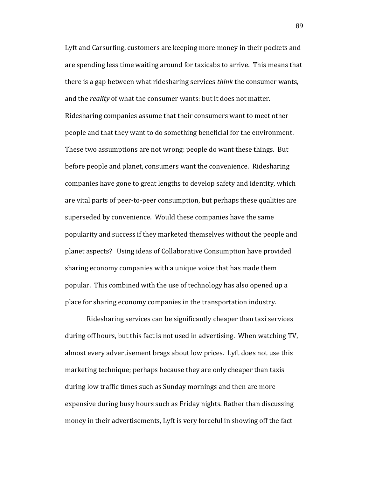Lyft and Carsurfing, customers are keeping more money in their pockets and are spending less time waiting around for taxicabs to arrive. This means that there is a gap between what ridesharing services *think* the consumer wants, and the *reality* of what the consumer wants: but it does not matter. Ridesharing companies assume that their consumers want to meet other people and that they want to do something beneficial for the environment. These two assumptions are not wrong: people do want these things. But before people and planet, consumers want the convenience. Ridesharing companies have gone to great lengths to develop safety and identity, which are vital parts of peer-to-peer consumption, but perhaps these qualities are superseded by convenience. Would these companies have the same popularity and success if they marketed themselves without the people and planet aspects? Using ideas of Collaborative Consumption have provided sharing economy companies with a unique voice that has made them popular. This combined with the use of technology has also opened up a place for sharing economy companies in the transportation industry.

Ridesharing services can be significantly cheaper than taxi services during off hours, but this fact is not used in advertising. When watching TV, almost every advertisement brags about low prices. Lyft does not use this marketing technique; perhaps because they are only cheaper than taxis during low traffic times such as Sunday mornings and then are more expensive during busy hours such as Friday nights. Rather than discussing money in their advertisements, Lyft is very forceful in showing off the fact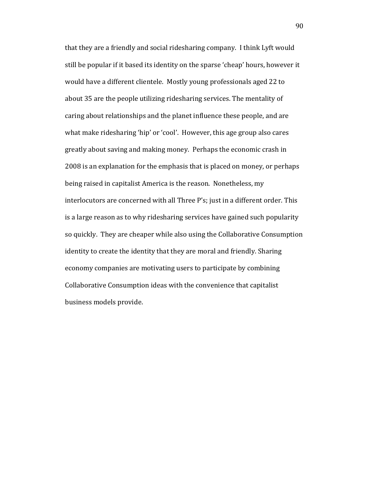that they are a friendly and social ridesharing company. I think Lyft would still be popular if it based its identity on the sparse 'cheap' hours, however it would have a different clientele. Mostly young professionals aged 22 to about 35 are the people utilizing ridesharing services. The mentality of caring about relationships and the planet influence these people, and are what make ridesharing 'hip' or 'cool'. However, this age group also cares greatly about saving and making money. Perhaps the economic crash in 2008 is an explanation for the emphasis that is placed on money, or perhaps being raised in capitalist America is the reason. Nonetheless, my interlocutors are concerned with all Three P's; just in a different order. This is a large reason as to why ridesharing services have gained such popularity so quickly. They are cheaper while also using the Collaborative Consumption identity to create the identity that they are moral and friendly. Sharing economy companies are motivating users to participate by combining Collaborative Consumption ideas with the convenience that capitalist business models provide.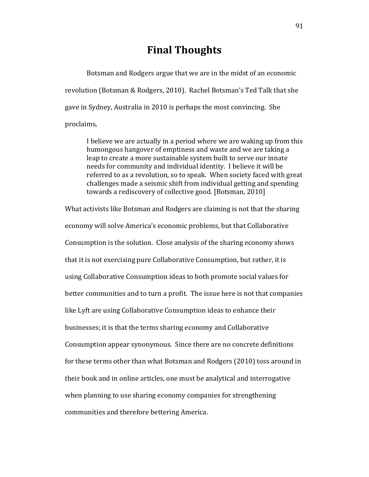# **Final Thoughts**

Botsman and Rodgers argue that we are in the midst of an economic revolution (Botsman & Rodgers, 2010). Rachel Botsman's Ted Talk that she gave in Sydney, Australia in 2010 is perhaps the most convincing. She proclaims,

I believe we are actually in a period where we are waking up from this humongous hangover of emptiness and waste and we are taking a leap to create a more sustainable system built to serve our innate needs for community and individual identity. I believe it will be referred to as a revolution, so to speak. When society faced with great challenges made a seismic shift from individual getting and spending towards a rediscovery of collective good. [Botsman, 2010]

What activists like Botsman and Rodgers are claiming is not that the sharing economy will solve America's economic problems, but that Collaborative Consumption is the solution. Close analysis of the sharing economy shows that it is not exercising pure Collaborative Consumption, but rather, it is using Collaborative Consumption ideas to both promote social values for better communities and to turn a profit. The issue here is not that companies like Lyft are using Collaborative Consumption ideas to enhance their businesses; it is that the terms sharing economy and Collaborative Consumption appear synonymous. Since there are no concrete definitions for these terms other than what Botsman and Rodgers (2010) toss around in their book and in online articles, one must be analytical and interrogative when planning to use sharing economy companies for strengthening communities and therefore bettering America.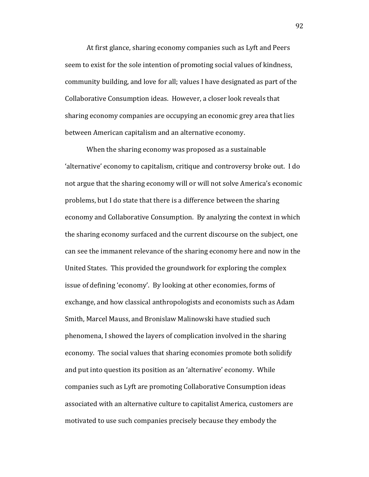At first glance, sharing economy companies such as Lyft and Peers seem to exist for the sole intention of promoting social values of kindness, community building, and love for all; values I have designated as part of the Collaborative Consumption ideas. However, a closer look reveals that sharing economy companies are occupying an economic grey area that lies between American capitalism and an alternative economy.

When the sharing economy was proposed as a sustainable 'alternative' economy to capitalism, critique and controversy broke out. I do not argue that the sharing economy will or will not solve America's economic problems, but I do state that there is a difference between the sharing economy and Collaborative Consumption. By analyzing the context in which the sharing economy surfaced and the current discourse on the subject, one can see the immanent relevance of the sharing economy here and now in the United States. This provided the groundwork for exploring the complex issue of defining 'economy'. By looking at other economies, forms of exchange, and how classical anthropologists and economists such as Adam Smith, Marcel Mauss, and Bronislaw Malinowski have studied such phenomena, I showed the layers of complication involved in the sharing economy. The social values that sharing economies promote both solidify and put into question its position as an 'alternative' economy. While companies such as Lyft are promoting Collaborative Consumption ideas associated with an alternative culture to capitalist America, customers are motivated to use such companies precisely because they embody the

92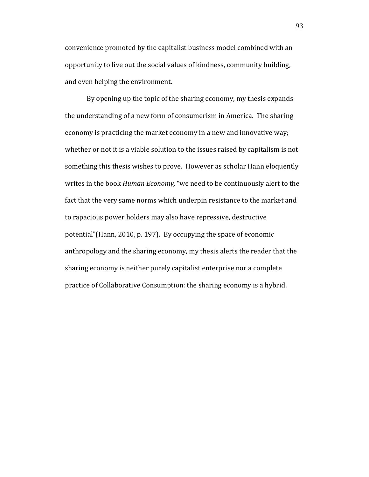convenience promoted by the capitalist business model combined with an opportunity to live out the social values of kindness, community building, and even helping the environment.

By opening up the topic of the sharing economy, my thesis expands the understanding of a new form of consumerism in America. The sharing economy is practicing the market economy in a new and innovative way; whether or not it is a viable solution to the issues raised by capitalism is not something this thesis wishes to prove. However as scholar Hann eloquently writes in the book *Human Economy,* "we need to be continuously alert to the fact that the very same norms which underpin resistance to the market and to rapacious power holders may also have repressive, destructive potential"(Hann, 2010, p. 197). By occupying the space of economic anthropology and the sharing economy, my thesis alerts the reader that the sharing economy is neither purely capitalist enterprise nor a complete practice of Collaborative Consumption: the sharing economy is a hybrid.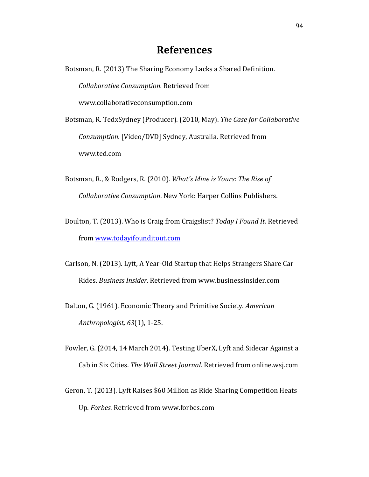# **References**

Botsman, R. (2013) The Sharing Economy Lacks a Shared Definition. *Collaborative Consumption.* Retrieved from www.collaborativeconsumption.com Botsman, R. TedxSydney (Producer). (2010, May). *The Case for Collaborative* 

*Consumption.* [Video/DVD] Sydney, Australia. Retrieved from www.ted.com

- Botsman, R., & Rodgers, R. (2010). *What's Mine is Yours: The Rise of Collaborative Consumption*. New York: Harper Collins Publishers.
- Boulton, T. (2013). Who is Craig from Craigslist? *Today I Found It.* Retrieved from [www.todayifounditout.com](http://www.todayifounditout.com/)
- Carlson, N. (2013). Lyft, A Year-Old Startup that Helps Strangers Share Car Rides. *Business Insider.* Retrieved from www.businessinsider.com
- Dalton, G. (1961). Economic Theory and Primitive Society. *American Anthropologist, 63*(1), 1-25.
- Fowler, G. (2014, 14 March 2014). Testing UberX, Lyft and Sidecar Against a Cab in Six Cities. *The Wall Street Journal*. Retrieved from online.wsj.com
- Geron, T. (2013). Lyft Raises \$60 Million as Ride Sharing Competition Heats Up. *Forbes.* Retrieved from www.forbes.com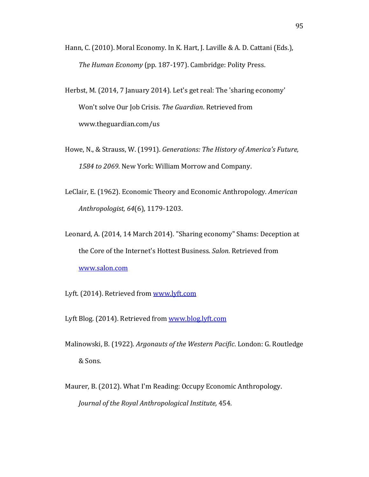- Hann, C. (2010). Moral Economy. In K. Hart, J. Laville & A. D. Cattani (Eds.), *The Human Economy* (pp. 187-197). Cambridge: Polity Press.
- Herbst, M. (2014, 7 January 2014). Let's get real: The 'sharing economy' Won't solve Our Job Crisis. *The Guardian*. Retrieved from www.theguardian.com/us
- Howe, N., & Strauss, W. (1991). *Generations: The History of America's Future, 1584 to 2069*. New York: William Morrow and Company.
- LeClair, E. (1962). Economic Theory and Economic Anthropology. *American Anthropologist, 64*(6), 1179-1203.
- Leonard, A. (2014, 14 March 2014). "Sharing economy" Shams: Deception at the Core of the Internet's Hottest Business. *Salon*. Retrieved from [www.salon.com](http://www.salon.com/)
- Lyft. (2014). Retrieved from [www.lyft.com](http://www.lyft.com/)

Lyft Blog. (2014). Retrieved from [www.blog.lyft.com](http://www.blog.lyft.com/)

- Malinowski, B. (1922). *Argonauts of the Western Pacific*. London: G. Routledge & Sons.
- Maurer, B. (2012). What I'm Reading: Occupy Economic Anthropology. *Journal of the Royal Anthropological Institute,* 454.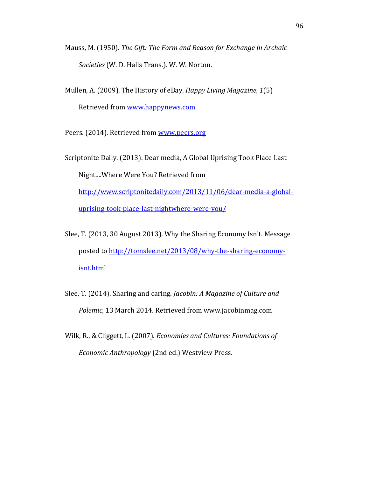- Mauss, M. (1950). *The Gift: The Form and Reason for Exchange in Archaic Societies* (W. D. Halls Trans.). W. W. Norton.
- Mullen, A. (2009). The History of eBay. *Happy Living Magazine, 1*(5) Retrieved from [www.happynews.com](http://www.happynews.com/)
- Peers. (2014). Retrieved from [www.peers.org](http://www.peers.org/)

Scriptonite Daily. (2013). Dear media, A Global Uprising Took Place Last Night....Where Were You? Retrieved from [http://www.scriptonitedaily.com/2013/11/06/dear-media-a-global](http://www.scriptonitedaily.com/2013/11/06/dear-media-a-global-uprising-took-place-last-nightwhere-were-you/)[uprising-took-place-last-nightwhere-were-you/](http://www.scriptonitedaily.com/2013/11/06/dear-media-a-global-uprising-took-place-last-nightwhere-were-you/)

- Slee, T. (2013, 30 August 2013). Why the Sharing Economy Isn't. Message posted to [http://tomslee.net/2013/08/why-the-sharing-economy](http://tomslee.net/2013/08/why-the-sharing-economy-isnt.html)[isnt.html](http://tomslee.net/2013/08/why-the-sharing-economy-isnt.html)
- Slee, T. (2014). Sharing and caring. *Jacobin: A Magazine of Culture and Polemic,* 13 March 2014. Retrieved from www.jacobinmag.com
- Wilk, R., & Cliggett, L. (2007). *Economies and Cultures: Foundations of Economic Anthropology* (2nd ed.) Westview Press.